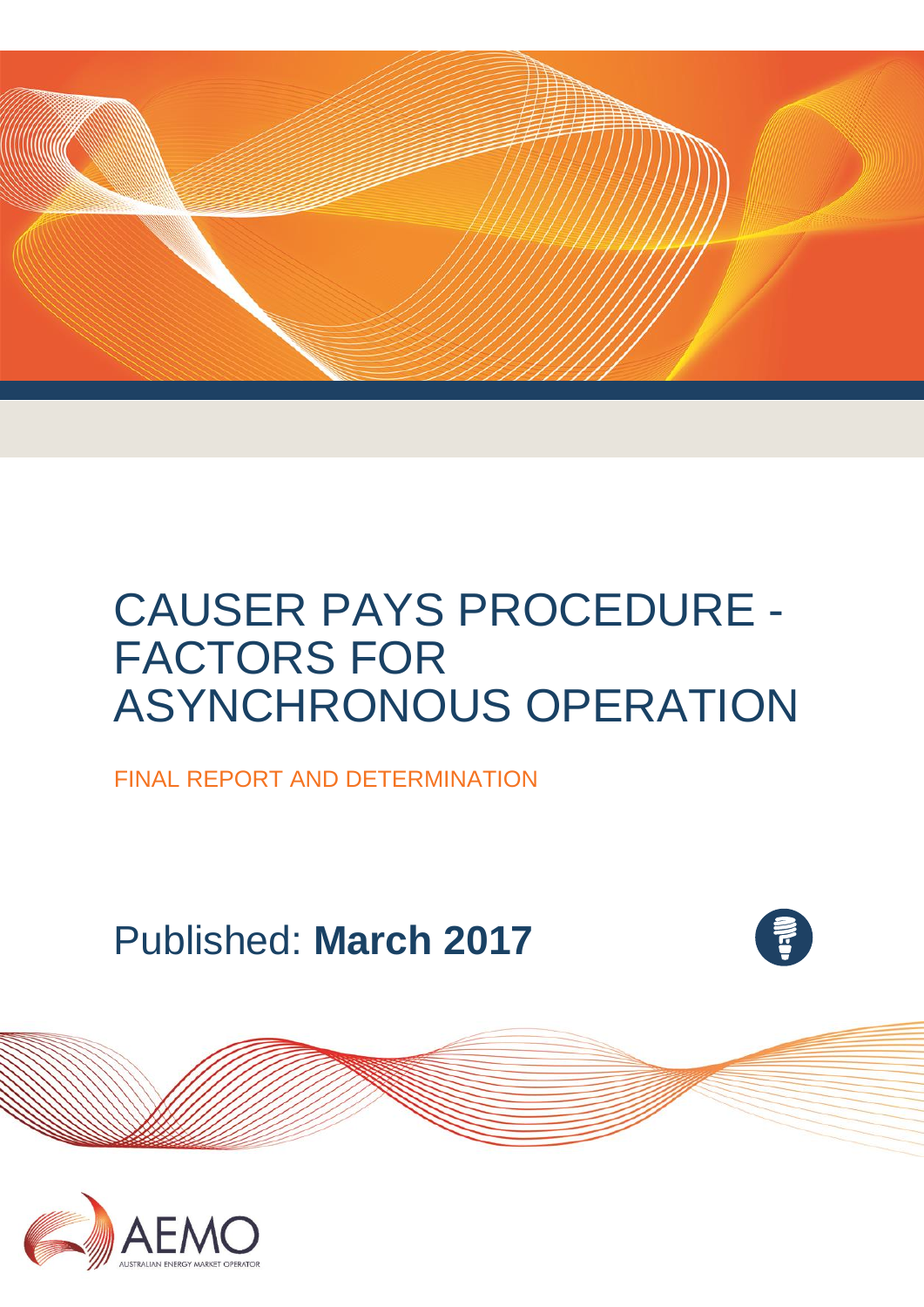

# CAUSER PAYS PROCEDURE - FACTORS FOR ASYNCHRONOUS OPERATION

FINAL REPORT AND DETERMINATION

Published: **March 2017**



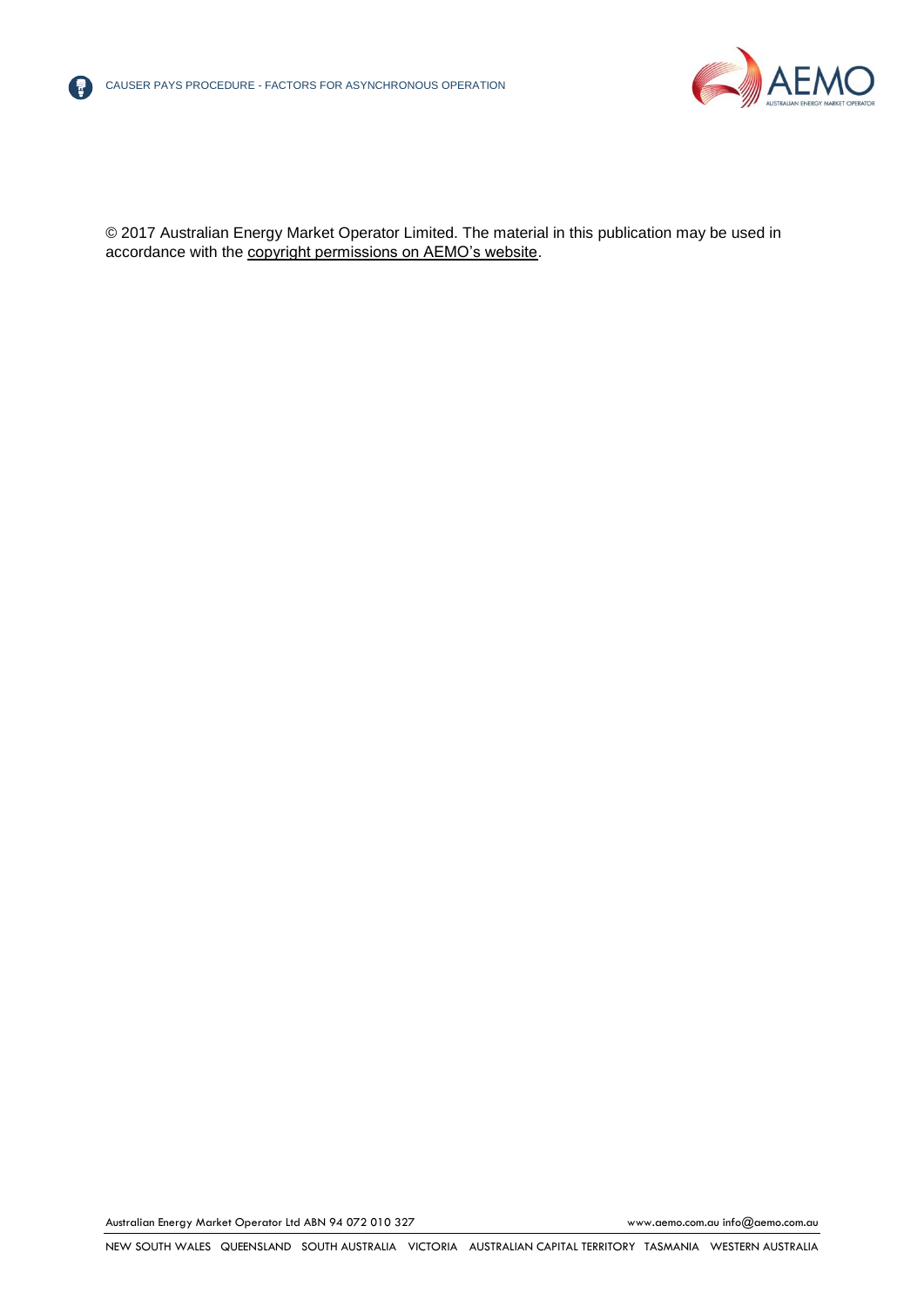



© 2017 Australian Energy Market Operator Limited. The material in this publication may be used in accordance with the [copyright permissions on AEMO's website.](http://aemo.com.au/Privacy_and_Legal_Notices/Copyright_Permissions_Notice)

Australian Energy Market Operator Ltd ABN 94 072 010 327 [www.aemo.com.au](http://www.aemo.com.au/) [info@aemo.com.au](mailto:info@aemo.com.au)

NEW SOUTH WALES QUEENSLAND SOUTH AUSTRALIA VICTORIA AUSTRALIAN CAPITAL TERRITORY TASMANIA WESTERN AUSTRALIA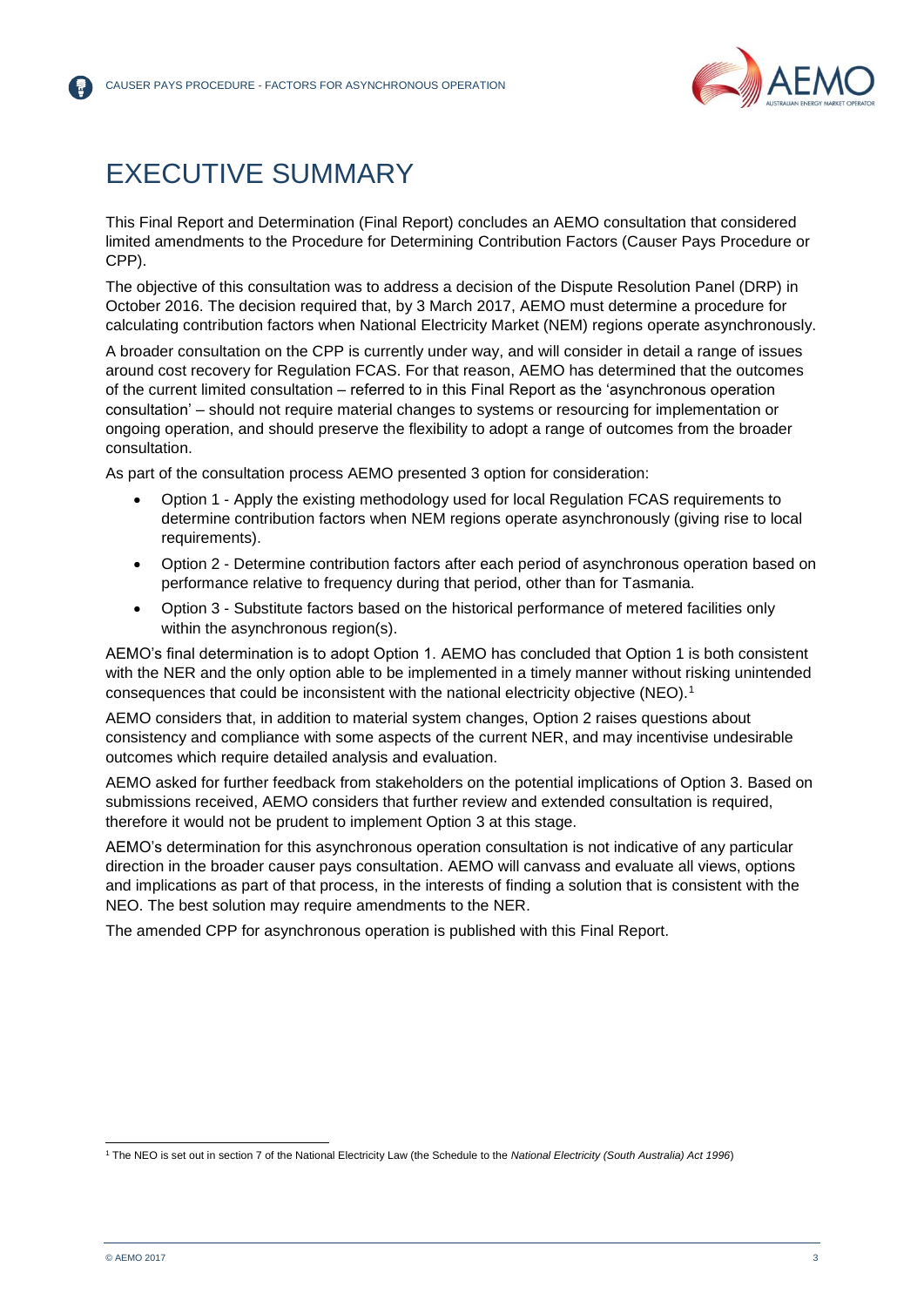

## <span id="page-2-0"></span>EXECUTIVE SUMMARY

This Final Report and Determination (Final Report) concludes an AEMO consultation that considered limited amendments to the Procedure for Determining Contribution Factors (Causer Pays Procedure or CPP).

The objective of this consultation was to address a decision of the Dispute Resolution Panel (DRP) in October 2016. The decision required that, by 3 March 2017, AEMO must determine a procedure for calculating contribution factors when National Electricity Market (NEM) regions operate asynchronously.

A broader consultation on the CPP is currently under way, and will consider in detail a range of issues around cost recovery for Regulation FCAS. For that reason, AEMO has determined that the outcomes of the current limited consultation – referred to in this Final Report as the 'asynchronous operation consultation' – should not require material changes to systems or resourcing for implementation or ongoing operation, and should preserve the flexibility to adopt a range of outcomes from the broader consultation.

As part of the consultation process AEMO presented 3 option for consideration:

- Option 1 Apply the existing methodology used for local Regulation FCAS requirements to determine contribution factors when NEM regions operate asynchronously (giving rise to local requirements).
- Option 2 Determine contribution factors after each period of asynchronous operation based on performance relative to frequency during that period, other than for Tasmania.
- Option 3 Substitute factors based on the historical performance of metered facilities only within the asynchronous region(s).

AEMO's final determination is to adopt Option 1. AEMO has concluded that Option 1 is both consistent with the NER and the only option able to be implemented in a timely manner without risking unintended consequences that could be inconsistent with the national electricity objective (NEO).<sup>1</sup>

AEMO considers that, in addition to material system changes, Option 2 raises questions about consistency and compliance with some aspects of the current NER, and may incentivise undesirable outcomes which require detailed analysis and evaluation.

AEMO asked for further feedback from stakeholders on the potential implications of Option 3. Based on submissions received, AEMO considers that further review and extended consultation is required, therefore it would not be prudent to implement Option 3 at this stage.

AEMO's determination for this asynchronous operation consultation is not indicative of any particular direction in the broader causer pays consultation. AEMO will canvass and evaluate all views, options and implications as part of that process, in the interests of finding a solution that is consistent with the NEO. The best solution may require amendments to the NER.

The amended CPP for asynchronous operation is published with this Final Report.

l <sup>1</sup> The NEO is set out in section 7 of the National Electricity Law (the Schedule to the *National Electricity (South Australia) Act 1996*)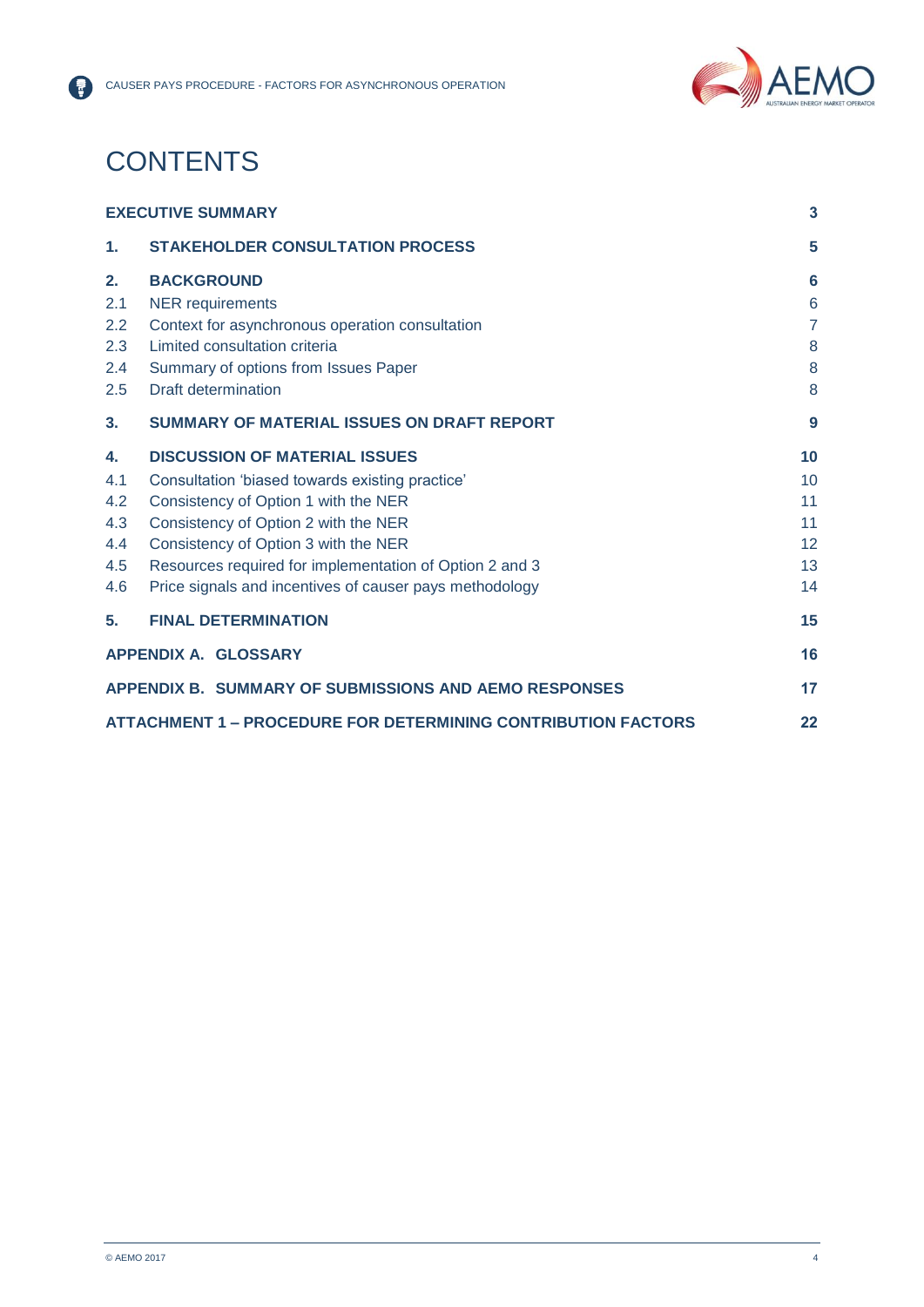

## **CONTENTS**

|     | <b>EXECUTIVE SUMMARY</b>                                             |                |  |  |
|-----|----------------------------------------------------------------------|----------------|--|--|
| 1.  | <b>STAKEHOLDER CONSULTATION PROCESS</b>                              | 5              |  |  |
| 2.  | <b>BACKGROUND</b>                                                    | 6              |  |  |
| 2.1 | <b>NER</b> requirements                                              | 6              |  |  |
| 2.2 | Context for asynchronous operation consultation                      | $\overline{7}$ |  |  |
| 2.3 | Limited consultation criteria                                        |                |  |  |
| 2.4 | Summary of options from Issues Paper                                 |                |  |  |
| 2.5 | Draft determination                                                  | 8              |  |  |
| 3.  | <b>SUMMARY OF MATERIAL ISSUES ON DRAFT REPORT</b>                    | 9              |  |  |
| 4.  | <b>DISCUSSION OF MATERIAL ISSUES</b>                                 | 10             |  |  |
| 4.1 | Consultation 'biased towards existing practice'                      | 10             |  |  |
| 4.2 | Consistency of Option 1 with the NER                                 |                |  |  |
| 4.3 | Consistency of Option 2 with the NER                                 |                |  |  |
| 4.4 | Consistency of Option 3 with the NER                                 |                |  |  |
| 4.5 | Resources required for implementation of Option 2 and 3              |                |  |  |
| 4.6 | Price signals and incentives of causer pays methodology              | 14             |  |  |
| 5.  | <b>FINAL DETERMINATION</b>                                           | 15             |  |  |
|     | <b>APPENDIX A. GLOSSARY</b>                                          | 16             |  |  |
|     | APPENDIX B. SUMMARY OF SUBMISSIONS AND AEMO RESPONSES                | 17             |  |  |
|     | <b>ATTACHMENT 1 – PROCEDURE FOR DETERMINING CONTRIBUTION FACTORS</b> | 22             |  |  |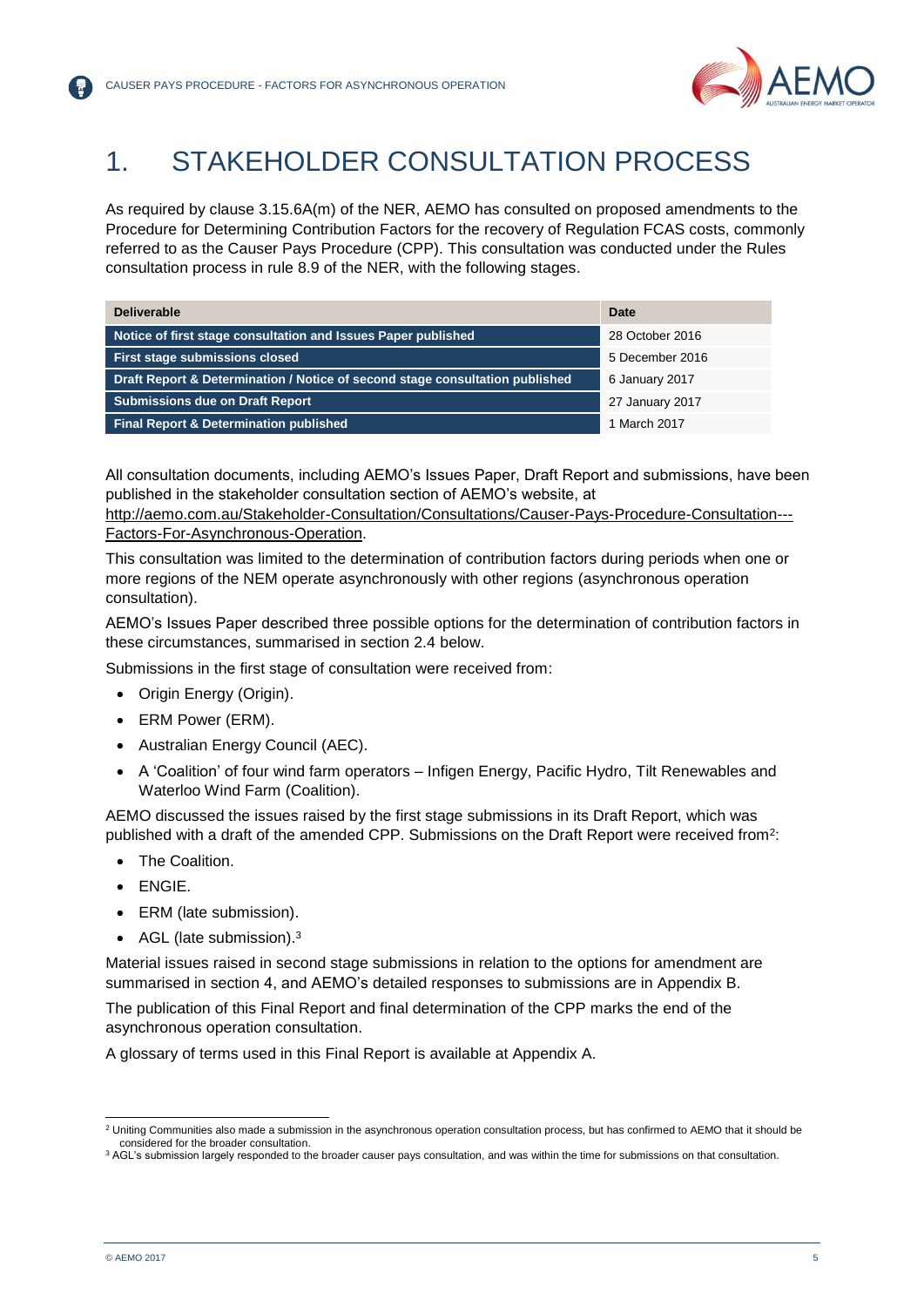

## <span id="page-4-0"></span>1. STAKEHOLDER CONSULTATION PROCESS

As required by clause 3.15.6A(m) of the NER, AEMO has consulted on proposed amendments to the Procedure for Determining Contribution Factors for the recovery of Regulation FCAS costs, commonly referred to as the Causer Pays Procedure (CPP). This consultation was conducted under the Rules consultation process in rule 8.9 of the NER, with the following stages.

| <b>Deliverable</b>                                                           | <b>Date</b>     |
|------------------------------------------------------------------------------|-----------------|
| Notice of first stage consultation and Issues Paper published                | 28 October 2016 |
| First stage submissions closed                                               | 5 December 2016 |
| Draft Report & Determination / Notice of second stage consultation published | 6 January 2017  |
| <b>Submissions due on Draft Report</b>                                       | 27 January 2017 |
| <b>Final Report &amp; Determination published</b>                            | 1 March 2017    |

All consultation documents, including AEMO's Issues Paper, Draft Report and submissions, have been published in the stakeholder consultation section of AEMO's website, at

[http://aemo.com.au/Stakeholder-Consultation/Consultations/Causer-Pays-Procedure-Consultation---](http://aemo.com.au/Stakeholder-Consultation/Consultations/Causer-Pays-Procedure-Consultation---Factors-For-Asynchronous-Operation) [Factors-For-Asynchronous-Operation.](http://aemo.com.au/Stakeholder-Consultation/Consultations/Causer-Pays-Procedure-Consultation---Factors-For-Asynchronous-Operation)

This consultation was limited to the determination of contribution factors during periods when one or more regions of the NEM operate asynchronously with other regions (asynchronous operation consultation).

AEMO's Issues Paper described three possible options for the determination of contribution factors in these circumstances, summarised in section 2.4 below.

Submissions in the first stage of consultation were received from:

- Origin Energy (Origin).
- ERM Power (ERM).
- Australian Energy Council (AEC).
- A 'Coalition' of four wind farm operators Infigen Energy, Pacific Hydro, Tilt Renewables and Waterloo Wind Farm (Coalition).

AEMO discussed the issues raised by the first stage submissions in its Draft Report, which was published with a draft of the amended CPP. Submissions on the Draft Report were received from<sup>2</sup>:

- **•** The Coalition
- ENGIE.
- ERM (late submission).
- AGL (late submission).<sup>3</sup>

Material issues raised in second stage submissions in relation to the options for amendment are summarised in section 4, and AEMO's detailed responses to submissions are in Appendix B.

The publication of this Final Report and final determination of the CPP marks the end of the asynchronous operation consultation.

A glossary of terms used in this Final Report is available at Appendix A.

l

<sup>&</sup>lt;sup>2</sup> Uniting Communities also made a submission in the asynchronous operation consultation process, but has confirmed to AEMO that it should be considered for the broader consultation.

<sup>&</sup>lt;sup>3</sup> AGL's submission largely responded to the broader causer pays consultation, and was within the time for submissions on that consultation.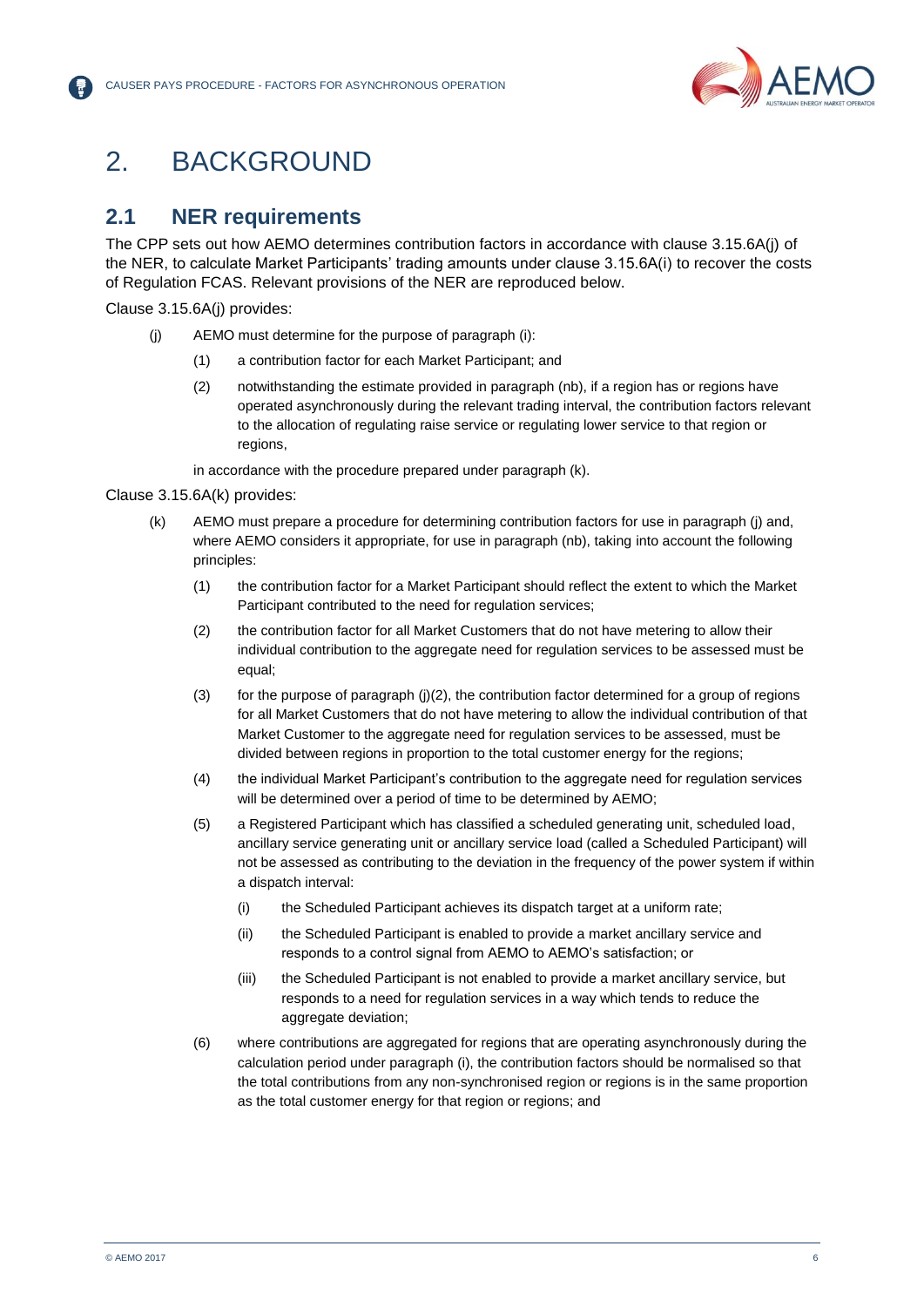

## <span id="page-5-0"></span>2. BACKGROUND

## <span id="page-5-1"></span>**2.1 NER requirements**

The CPP sets out how AEMO determines contribution factors in accordance with clause 3.15.6A(j) of the NER, to calculate Market Participants' trading amounts under clause 3.15.6A(i) to recover the costs of Regulation FCAS. Relevant provisions of the NER are reproduced below.

Clause 3.15.6A(j) provides:

- (j) AEMO must determine for the purpose of paragraph (i):
	- (1) a contribution factor for each Market Participant; and
	- (2) notwithstanding the estimate provided in paragraph (nb), if a region has or regions have operated asynchronously during the relevant trading interval, the contribution factors relevant to the allocation of regulating raise service or regulating lower service to that region or regions,

in accordance with the procedure prepared under paragraph (k).

#### Clause 3.15.6A(k) provides:

- (k) AEMO must prepare a procedure for determining contribution factors for use in paragraph (j) and, where AEMO considers it appropriate, for use in paragraph (nb), taking into account the following principles:
	- (1) the contribution factor for a Market Participant should reflect the extent to which the Market Participant contributed to the need for regulation services;
	- (2) the contribution factor for all Market Customers that do not have metering to allow their individual contribution to the aggregate need for regulation services to be assessed must be equal;
	- (3) for the purpose of paragraph (j)(2), the contribution factor determined for a group of regions for all Market Customers that do not have metering to allow the individual contribution of that Market Customer to the aggregate need for regulation services to be assessed, must be divided between regions in proportion to the total customer energy for the regions;
	- (4) the individual Market Participant's contribution to the aggregate need for regulation services will be determined over a period of time to be determined by AEMO;
	- (5) a Registered Participant which has classified a scheduled generating unit, scheduled load, ancillary service generating unit or ancillary service load (called a Scheduled Participant) will not be assessed as contributing to the deviation in the frequency of the power system if within a dispatch interval:
		- (i) the Scheduled Participant achieves its dispatch target at a uniform rate;
		- (ii) the Scheduled Participant is enabled to provide a market ancillary service and responds to a control signal from AEMO to AEMO's satisfaction; or
		- (iii) the Scheduled Participant is not enabled to provide a market ancillary service, but responds to a need for regulation services in a way which tends to reduce the aggregate deviation;
	- (6) where contributions are aggregated for regions that are operating asynchronously during the calculation period under paragraph (i), the contribution factors should be normalised so that the total contributions from any non-synchronised region or regions is in the same proportion as the total customer energy for that region or regions; and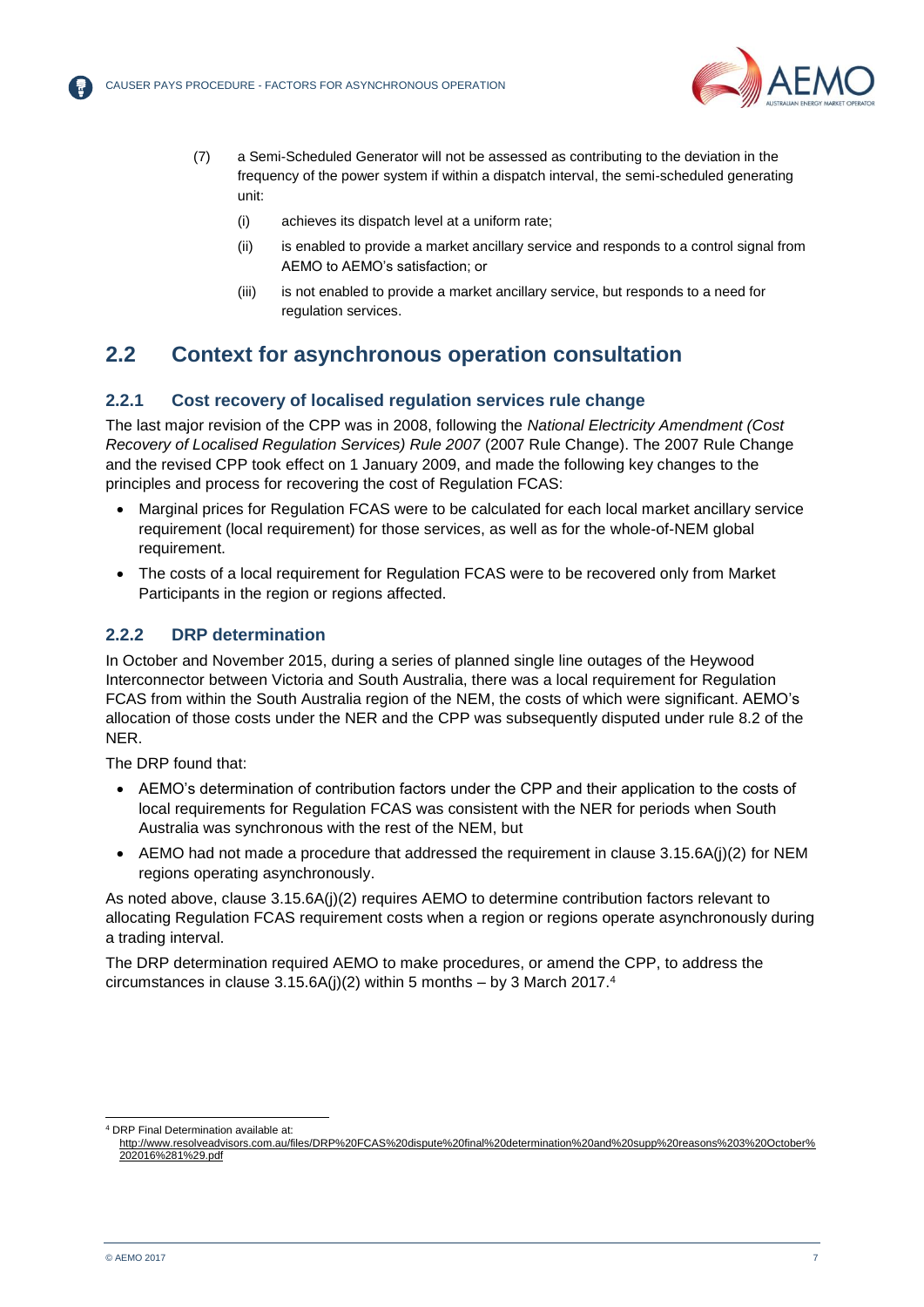

- (7) a Semi-Scheduled Generator will not be assessed as contributing to the deviation in the frequency of the power system if within a dispatch interval, the semi-scheduled generating unit:
	- (i) achieves its dispatch level at a uniform rate;
	- (ii) is enabled to provide a market ancillary service and responds to a control signal from AEMO to AEMO's satisfaction; or
	- (iii) is not enabled to provide a market ancillary service, but responds to a need for regulation services.

## <span id="page-6-0"></span>**2.2 Context for asynchronous operation consultation**

### **2.2.1 Cost recovery of localised regulation services rule change**

The last major revision of the CPP was in 2008, following the *National Electricity Amendment (Cost Recovery of Localised Regulation Services) Rule 2007* (2007 Rule Change). The 2007 Rule Change and the revised CPP took effect on 1 January 2009, and made the following key changes to the principles and process for recovering the cost of Regulation FCAS:

- Marginal prices for Regulation FCAS were to be calculated for each local market ancillary service requirement (local requirement) for those services, as well as for the whole-of-NEM global requirement.
- The costs of a local requirement for Regulation FCAS were to be recovered only from Market Participants in the region or regions affected.

#### **2.2.2 DRP determination**

In October and November 2015, during a series of planned single line outages of the Heywood Interconnector between Victoria and South Australia, there was a local requirement for Regulation FCAS from within the South Australia region of the NEM, the costs of which were significant. AEMO's allocation of those costs under the NER and the CPP was subsequently disputed under rule 8.2 of the NER.

The DRP found that:

- AEMO's determination of contribution factors under the CPP and their application to the costs of local requirements for Regulation FCAS was consistent with the NER for periods when South Australia was synchronous with the rest of the NEM, but
- $\bullet$  AEMO had not made a procedure that addressed the requirement in clause 3.15.6A(j)(2) for NEM regions operating asynchronously.

As noted above, clause 3.15.6A(j)(2) requires AEMO to determine contribution factors relevant to allocating Regulation FCAS requirement costs when a region or regions operate asynchronously during a trading interval.

The DRP determination required AEMO to make procedures, or amend the CPP, to address the circumstances in clause 3.15.6A(j)(2) within 5 months – by 3 March 2017.<sup>4</sup>

l <sup>4</sup> DRP Final Determination available at:

[http://www.resolveadvisors.com.au/files/DRP%20FCAS%20dispute%20final%20determination%20and%20supp%20reasons%203%20October%](http://www.resolveadvisors.com.au/files/DRP%20FCAS%20dispute%20final%20determination%20and%20supp%20reasons%203%20October%202016%281%29.pdf) [202016%281%29.pdf](http://www.resolveadvisors.com.au/files/DRP%20FCAS%20dispute%20final%20determination%20and%20supp%20reasons%203%20October%202016%281%29.pdf)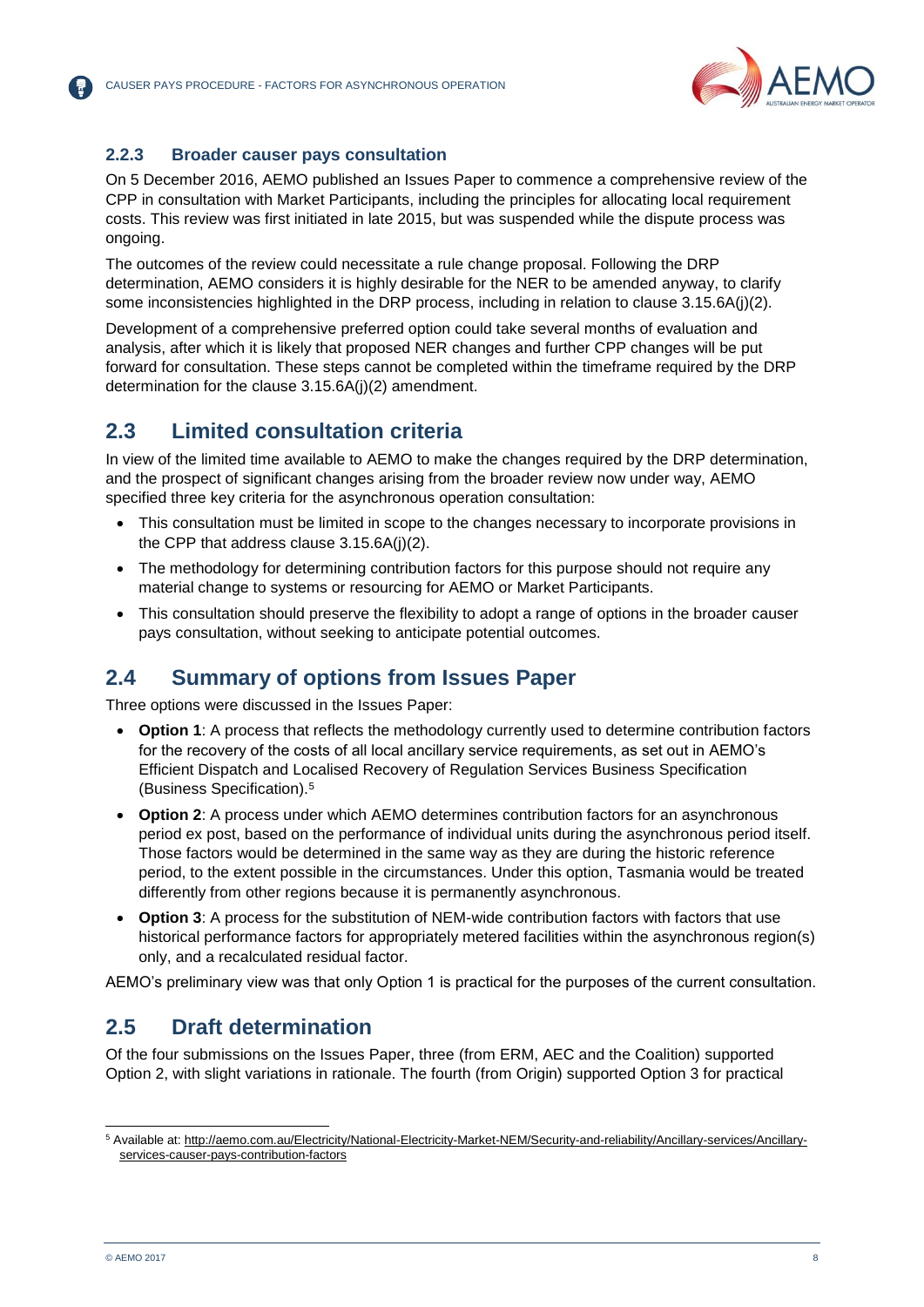

### **2.2.3 Broader causer pays consultation**

On 5 December 2016, AEMO published an Issues Paper to commence a comprehensive review of the CPP in consultation with Market Participants, including the principles for allocating local requirement costs. This review was first initiated in late 2015, but was suspended while the dispute process was ongoing.

The outcomes of the review could necessitate a rule change proposal. Following the DRP determination, AEMO considers it is highly desirable for the NER to be amended anyway, to clarify some inconsistencies highlighted in the DRP process, including in relation to clause 3.15.6A(j)(2).

Development of a comprehensive preferred option could take several months of evaluation and analysis, after which it is likely that proposed NER changes and further CPP changes will be put forward for consultation. These steps cannot be completed within the timeframe required by the DRP determination for the clause 3.15.6A(j)(2) amendment.

## <span id="page-7-0"></span>**2.3 Limited consultation criteria**

In view of the limited time available to AEMO to make the changes required by the DRP determination, and the prospect of significant changes arising from the broader review now under way, AEMO specified three key criteria for the asynchronous operation consultation:

- This consultation must be limited in scope to the changes necessary to incorporate provisions in the CPP that address clause 3.15.6A(j)(2).
- The methodology for determining contribution factors for this purpose should not require any material change to systems or resourcing for AEMO or Market Participants.
- This consultation should preserve the flexibility to adopt a range of options in the broader causer pays consultation, without seeking to anticipate potential outcomes.

## <span id="page-7-1"></span>**2.4 Summary of options from Issues Paper**

Three options were discussed in the Issues Paper:

- **Option 1**: A process that reflects the methodology currently used to determine contribution factors for the recovery of the costs of all local ancillary service requirements, as set out in AEMO's Efficient Dispatch and Localised Recovery of Regulation Services Business Specification (Business Specification).<sup>5</sup>
- **Option 2**: A process under which AEMO determines contribution factors for an asynchronous period ex post, based on the performance of individual units during the asynchronous period itself. Those factors would be determined in the same way as they are during the historic reference period, to the extent possible in the circumstances. Under this option, Tasmania would be treated differently from other regions because it is permanently asynchronous.
- **Option 3**: A process for the substitution of NEM-wide contribution factors with factors that use historical performance factors for appropriately metered facilities within the asynchronous region(s) only, and a recalculated residual factor.

AEMO's preliminary view was that only Option 1 is practical for the purposes of the current consultation.

## <span id="page-7-2"></span>**2.5 Draft determination**

Of the four submissions on the Issues Paper, three (from ERM, AEC and the Coalition) supported Option 2, with slight variations in rationale. The fourth (from Origin) supported Option 3 for practical

l

<sup>5</sup> Available at: [http://aemo.com.au/Electricity/National-Electricity-Market-NEM/Security-and-reliability/Ancillary-services/Ancillary](http://aemo.com.au/Electricity/National-Electricity-Market-NEM/Security-and-reliability/Ancillary-services/Ancillary-services-causer-pays-contribution-factors)[services-causer-pays-contribution-factors](http://aemo.com.au/Electricity/National-Electricity-Market-NEM/Security-and-reliability/Ancillary-services/Ancillary-services-causer-pays-contribution-factors)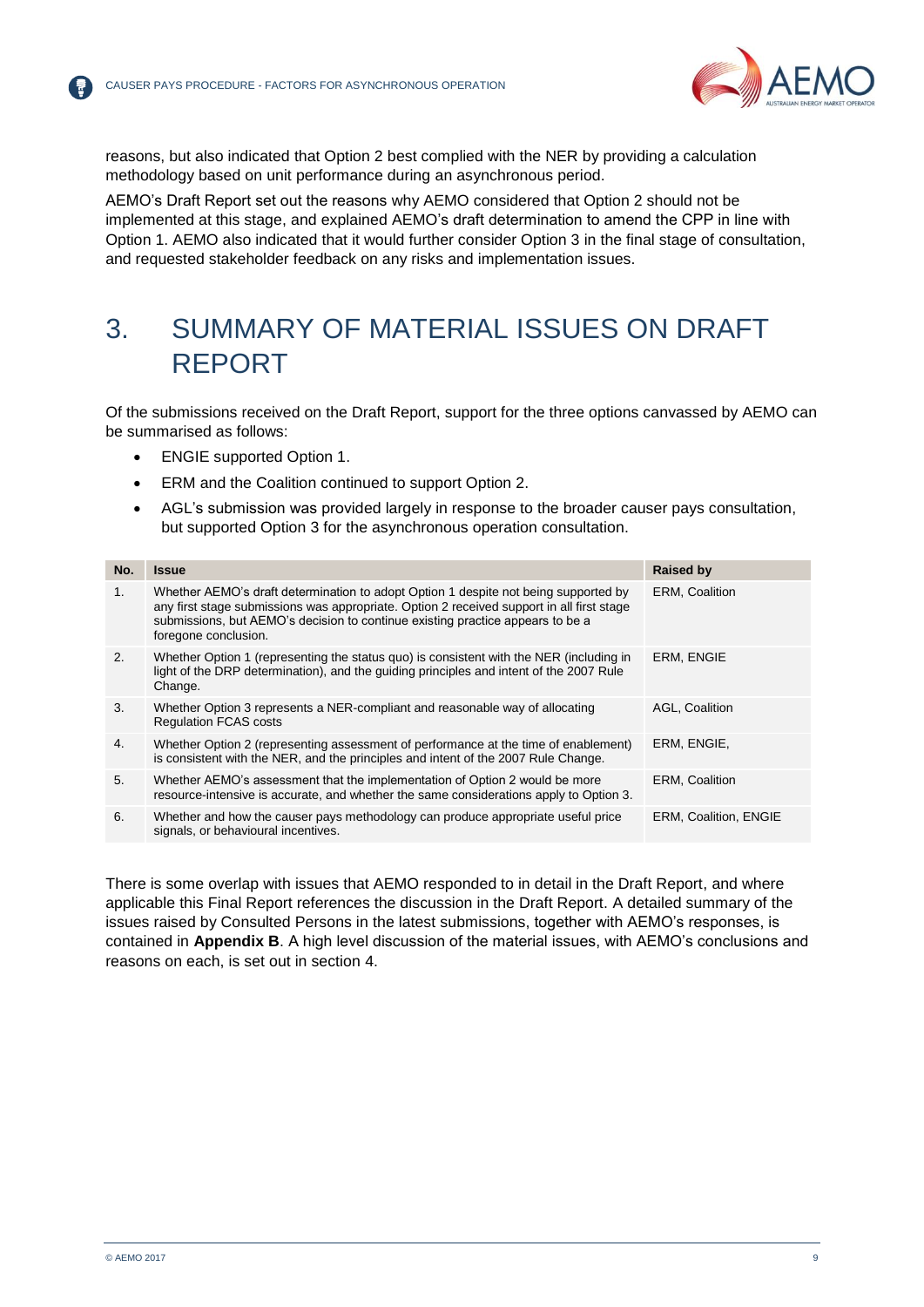

reasons, but also indicated that Option 2 best complied with the NER by providing a calculation methodology based on unit performance during an asynchronous period.

AEMO's Draft Report set out the reasons why AEMO considered that Option 2 should not be implemented at this stage, and explained AEMO's draft determination to amend the CPP in line with Option 1. AEMO also indicated that it would further consider Option 3 in the final stage of consultation, and requested stakeholder feedback on any risks and implementation issues.

## <span id="page-8-0"></span>3. SUMMARY OF MATERIAL ISSUES ON DRAFT REPORT

Of the submissions received on the Draft Report, support for the three options canvassed by AEMO can be summarised as follows:

- ENGIE supported Option 1.
- ERM and the Coalition continued to support Option 2.
- AGL's submission was provided largely in response to the broader causer pays consultation, but supported Option 3 for the asynchronous operation consultation.

| No. | <b>Issue</b>                                                                                                                                                                                                                                                                               | <b>Raised by</b>             |
|-----|--------------------------------------------------------------------------------------------------------------------------------------------------------------------------------------------------------------------------------------------------------------------------------------------|------------------------------|
| 1.  | Whether AEMO's draft determination to adopt Option 1 despite not being supported by<br>any first stage submissions was appropriate. Option 2 received support in all first stage<br>submissions, but AEMO's decision to continue existing practice appears to be a<br>foregone conclusion. | <b>ERM, Coalition</b>        |
| 2.  | Whether Option 1 (representing the status quo) is consistent with the NER (including in<br>light of the DRP determination), and the guiding principles and intent of the 2007 Rule<br>Change.                                                                                              | ERM, ENGIE                   |
| 3.  | Whether Option 3 represents a NER-compliant and reasonable way of allocating<br><b>Requlation FCAS costs</b>                                                                                                                                                                               | AGL, Coalition               |
| 4.  | Whether Option 2 (representing assessment of performance at the time of enablement)<br>is consistent with the NER, and the principles and intent of the 2007 Rule Change.                                                                                                                  | ERM. ENGIE.                  |
| 5.  | Whether AEMO's assessment that the implementation of Option 2 would be more<br>resource-intensive is accurate, and whether the same considerations apply to Option 3.                                                                                                                      | <b>ERM, Coalition</b>        |
| 6.  | Whether and how the causer pays methodology can produce appropriate useful price<br>signals, or behavioural incentives.                                                                                                                                                                    | <b>ERM, Coalition, ENGIE</b> |

There is some overlap with issues that AEMO responded to in detail in the Draft Report, and where applicable this Final Report references the discussion in the Draft Report. A detailed summary of the issues raised by Consulted Persons in the latest submissions, together with AEMO's responses, is contained in **Appendix B**. A high level discussion of the material issues, with AEMO's conclusions and reasons on each, is set out in section [4.](#page-9-0)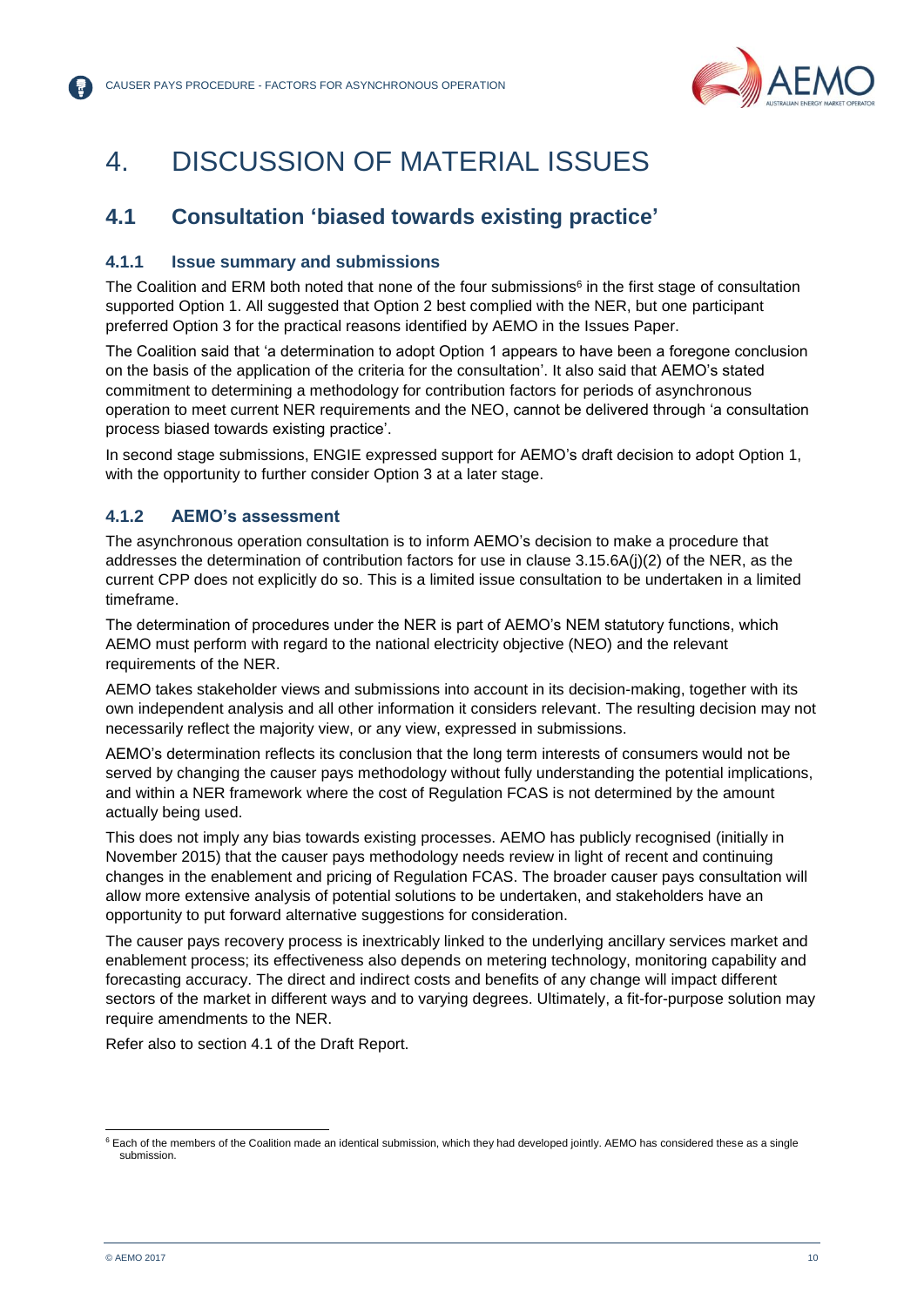

## <span id="page-9-0"></span>4. DISCUSSION OF MATERIAL ISSUES

## <span id="page-9-1"></span>**4.1 Consultation 'biased towards existing practice'**

### **4.1.1 Issue summary and submissions**

The Coalition and ERM both noted that none of the four submissions<sup>6</sup> in the first stage of consultation supported Option 1. All suggested that Option 2 best complied with the NER, but one participant preferred Option 3 for the practical reasons identified by AEMO in the Issues Paper.

The Coalition said that 'a determination to adopt Option 1 appears to have been a foregone conclusion on the basis of the application of the criteria for the consultation'. It also said that AEMO's stated commitment to determining a methodology for contribution factors for periods of asynchronous operation to meet current NER requirements and the NEO, cannot be delivered through 'a consultation process biased towards existing practice'.

In second stage submissions, ENGIE expressed support for AEMO's draft decision to adopt Option 1, with the opportunity to further consider Option 3 at a later stage.

## **4.1.2 AEMO's assessment**

The asynchronous operation consultation is to inform AEMO's decision to make a procedure that addresses the determination of contribution factors for use in clause 3.15.6A(j)(2) of the NER, as the current CPP does not explicitly do so. This is a limited issue consultation to be undertaken in a limited timeframe.

The determination of procedures under the NER is part of AEMO's NEM statutory functions, which AEMO must perform with regard to the national electricity objective (NEO) and the relevant requirements of the NER.

AEMO takes stakeholder views and submissions into account in its decision-making, together with its own independent analysis and all other information it considers relevant. The resulting decision may not necessarily reflect the majority view, or any view, expressed in submissions.

AEMO's determination reflects its conclusion that the long term interests of consumers would not be served by changing the causer pays methodology without fully understanding the potential implications, and within a NER framework where the cost of Regulation FCAS is not determined by the amount actually being used.

This does not imply any bias towards existing processes. AEMO has publicly recognised (initially in November 2015) that the causer pays methodology needs review in light of recent and continuing changes in the enablement and pricing of Regulation FCAS. The broader causer pays consultation will allow more extensive analysis of potential solutions to be undertaken, and stakeholders have an opportunity to put forward alternative suggestions for consideration.

The causer pays recovery process is inextricably linked to the underlying ancillary services market and enablement process; its effectiveness also depends on metering technology, monitoring capability and forecasting accuracy. The direct and indirect costs and benefits of any change will impact different sectors of the market in different ways and to varying degrees. Ultimately, a fit-for-purpose solution may require amendments to the NER.

Refer also to section 4.1 of the Draft Report.

l <sup>6</sup> Each of the members of the Coalition made an identical submission, which they had developed jointly. AEMO has considered these as a single submission.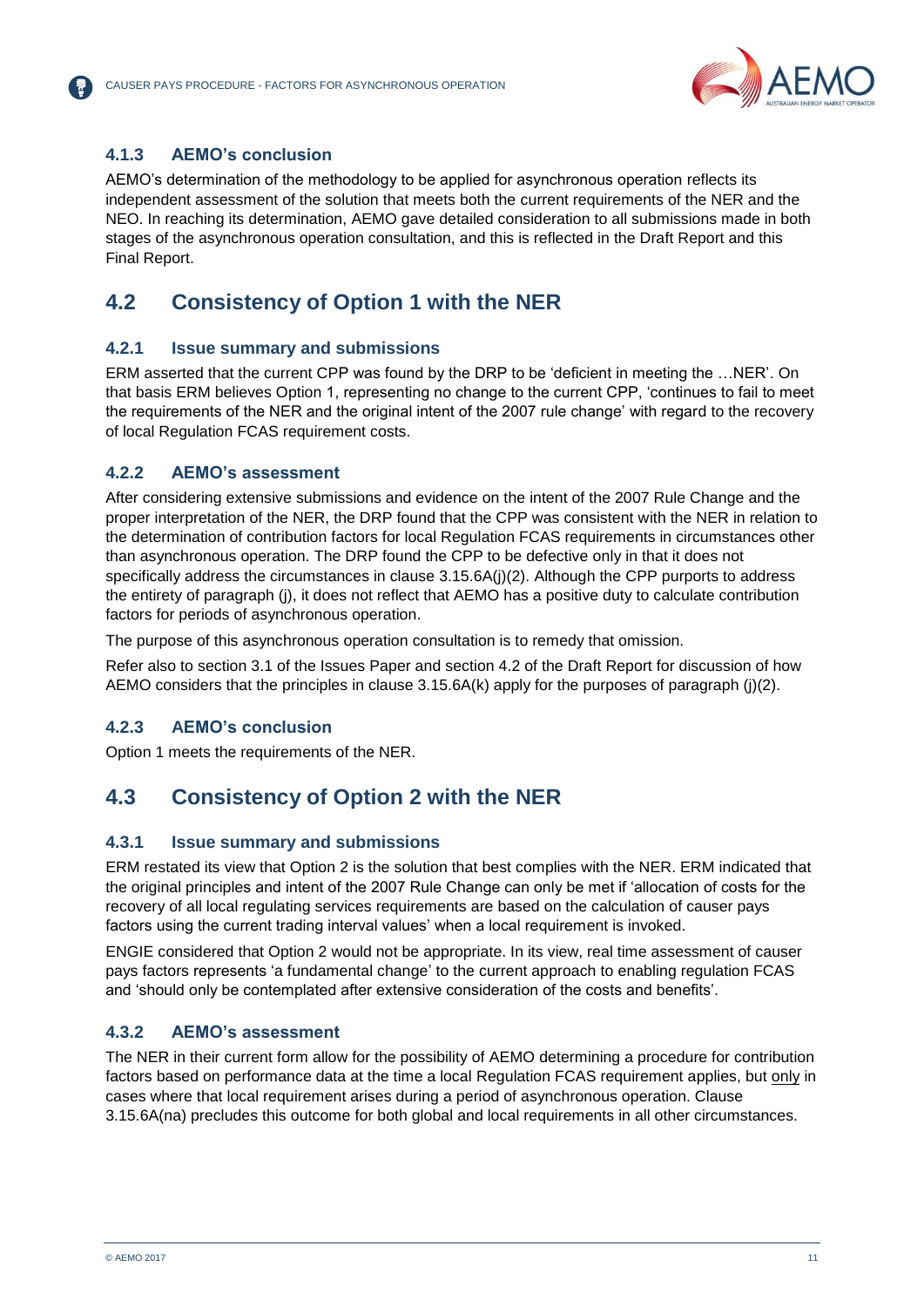

### **4.1.3 AEMO's conclusion**

AEMO's determination of the methodology to be applied for asynchronous operation reflects its independent assessment of the solution that meets both the current requirements of the NER and the NEO. In reaching its determination, AEMO gave detailed consideration to all submissions made in both stages of the asynchronous operation consultation, and this is reflected in the Draft Report and this Final Report.

## <span id="page-10-0"></span>**4.2 Consistency of Option 1 with the NER**

### **4.2.1 Issue summary and submissions**

ERM asserted that the current CPP was found by the DRP to be 'deficient in meeting the …NER'. On that basis ERM believes Option 1, representing no change to the current CPP, 'continues to fail to meet the requirements of the NER and the original intent of the 2007 rule change' with regard to the recovery of local Regulation FCAS requirement costs.

#### **4.2.2 AEMO's assessment**

After considering extensive submissions and evidence on the intent of the 2007 Rule Change and the proper interpretation of the NER, the DRP found that the CPP was consistent with the NER in relation to the determination of contribution factors for local Regulation FCAS requirements in circumstances other than asynchronous operation. The DRP found the CPP to be defective only in that it does not specifically address the circumstances in clause 3.15.6A(j)(2). Although the CPP purports to address the entirety of paragraph (j), it does not reflect that AEMO has a positive duty to calculate contribution factors for periods of asynchronous operation.

The purpose of this asynchronous operation consultation is to remedy that omission.

Refer also to section 3.1 of the Issues Paper and section 4.2 of the Draft Report for discussion of how AEMO considers that the principles in clause 3.15.6A(k) apply for the purposes of paragraph (j)(2).

### **4.2.3 AEMO's conclusion**

Option 1 meets the requirements of the NER.

## <span id="page-10-1"></span>**4.3 Consistency of Option 2 with the NER**

#### **4.3.1 Issue summary and submissions**

ERM restated its view that Option 2 is the solution that best complies with the NER. ERM indicated that the original principles and intent of the 2007 Rule Change can only be met if 'allocation of costs for the recovery of all local regulating services requirements are based on the calculation of causer pays factors using the current trading interval values' when a local requirement is invoked.

ENGIE considered that Option 2 would not be appropriate. In its view, real time assessment of causer pays factors represents 'a fundamental change' to the current approach to enabling regulation FCAS and 'should only be contemplated after extensive consideration of the costs and benefits'.

### **4.3.2 AEMO's assessment**

The NER in their current form allow for the possibility of AEMO determining a procedure for contribution factors based on performance data at the time a local Regulation FCAS requirement applies, but only in cases where that local requirement arises during a period of asynchronous operation. Clause 3.15.6A(na) precludes this outcome for both global and local requirements in all other circumstances.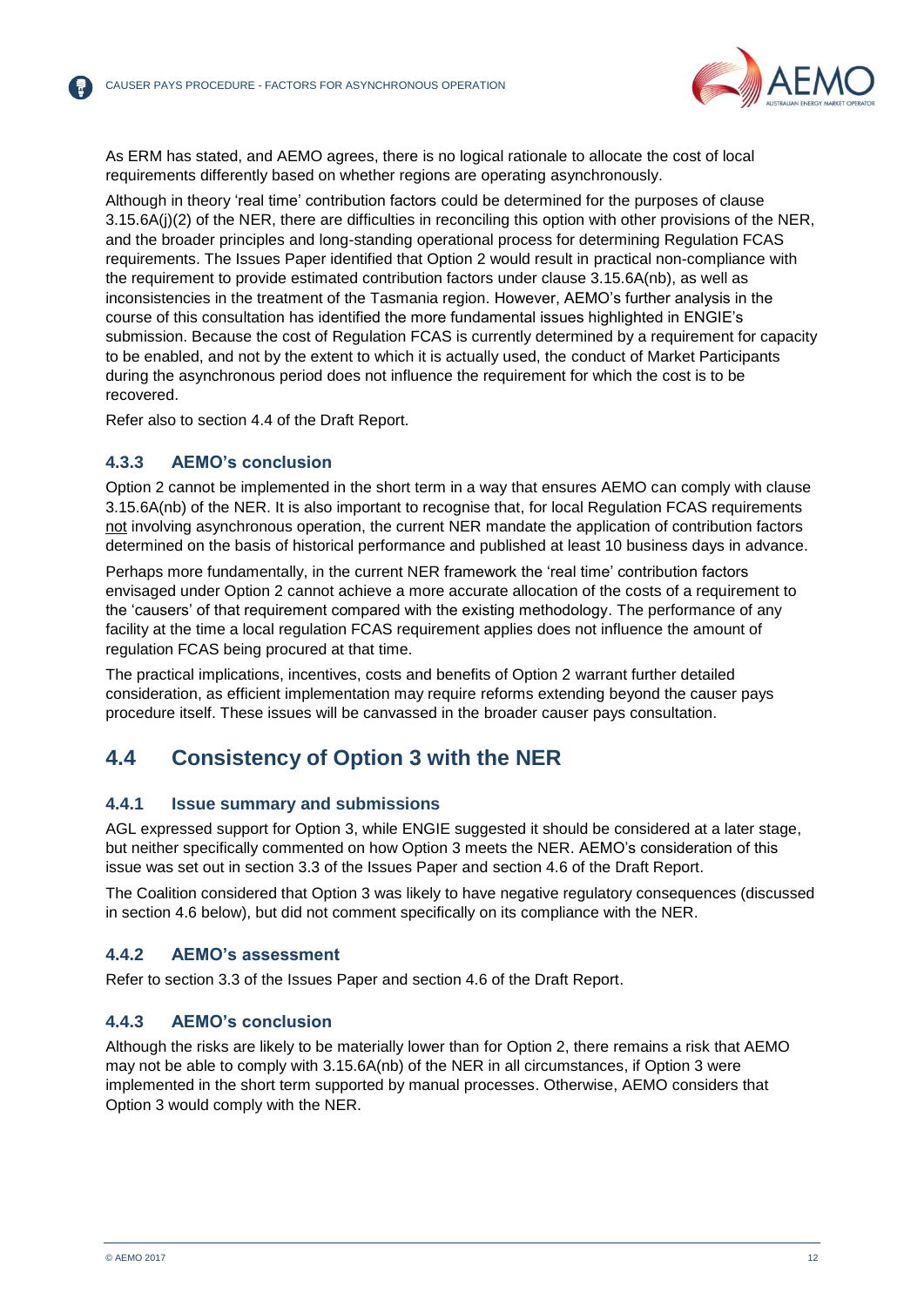

As ERM has stated, and AEMO agrees, there is no logical rationale to allocate the cost of local requirements differently based on whether regions are operating asynchronously.

Although in theory 'real time' contribution factors could be determined for the purposes of clause 3.15.6A(j)(2) of the NER, there are difficulties in reconciling this option with other provisions of the NER, and the broader principles and long-standing operational process for determining Regulation FCAS requirements. The Issues Paper identified that Option 2 would result in practical non-compliance with the requirement to provide estimated contribution factors under clause 3.15.6A(nb), as well as inconsistencies in the treatment of the Tasmania region. However, AEMO's further analysis in the course of this consultation has identified the more fundamental issues highlighted in ENGIE's submission. Because the cost of Regulation FCAS is currently determined by a requirement for capacity to be enabled, and not by the extent to which it is actually used, the conduct of Market Participants during the asynchronous period does not influence the requirement for which the cost is to be recovered.

Refer also to section 4.4 of the Draft Report.

#### **4.3.3 AEMO's conclusion**

Option 2 cannot be implemented in the short term in a way that ensures AEMO can comply with clause 3.15.6A(nb) of the NER. It is also important to recognise that, for local Regulation FCAS requirements not involving asynchronous operation, the current NER mandate the application of contribution factors determined on the basis of historical performance and published at least 10 business days in advance.

Perhaps more fundamentally, in the current NER framework the 'real time' contribution factors envisaged under Option 2 cannot achieve a more accurate allocation of the costs of a requirement to the 'causers' of that requirement compared with the existing methodology. The performance of any facility at the time a local regulation FCAS requirement applies does not influence the amount of regulation FCAS being procured at that time.

The practical implications, incentives, costs and benefits of Option 2 warrant further detailed consideration, as efficient implementation may require reforms extending beyond the causer pays procedure itself. These issues will be canvassed in the broader causer pays consultation.

## <span id="page-11-0"></span>**4.4 Consistency of Option 3 with the NER**

#### **4.4.1 Issue summary and submissions**

AGL expressed support for Option 3, while ENGIE suggested it should be considered at a later stage, but neither specifically commented on how Option 3 meets the NER. AEMO's consideration of this issue was set out in section 3.3 of the Issues Paper and section 4.6 of the Draft Report.

The Coalition considered that Option 3 was likely to have negative regulatory consequences (discussed in section [4.6](#page-13-0) below), but did not comment specifically on its compliance with the NER.

#### **4.4.2 AEMO's assessment**

Refer to section 3.3 of the Issues Paper and section 4.6 of the Draft Report.

#### **4.4.3 AEMO's conclusion**

Although the risks are likely to be materially lower than for Option 2, there remains a risk that AEMO may not be able to comply with 3.15.6A(nb) of the NER in all circumstances, if Option 3 were implemented in the short term supported by manual processes. Otherwise, AEMO considers that Option 3 would comply with the NER.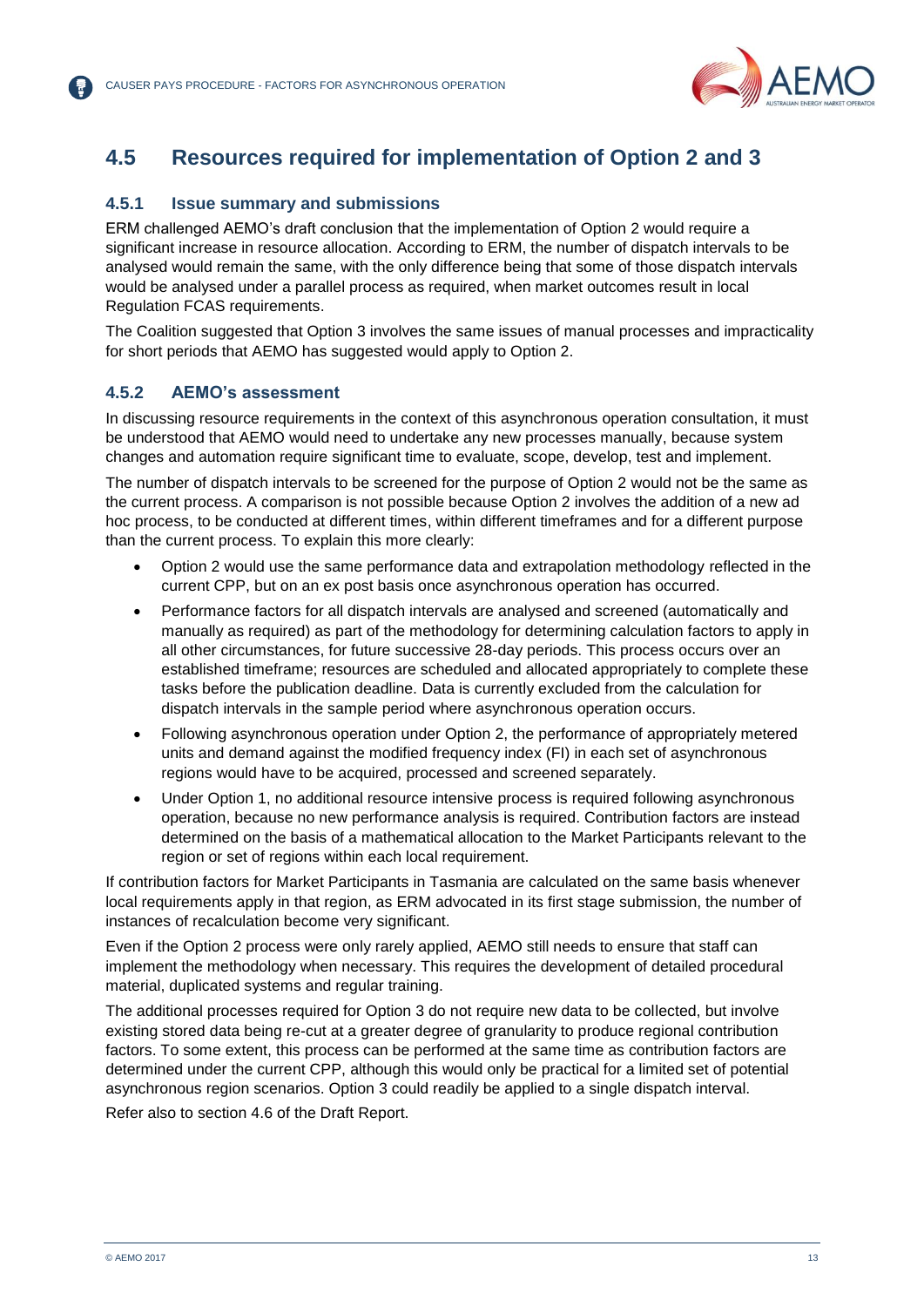

## <span id="page-12-0"></span>**4.5 Resources required for implementation of Option 2 and 3**

#### **4.5.1 Issue summary and submissions**

ERM challenged AEMO's draft conclusion that the implementation of Option 2 would require a significant increase in resource allocation. According to ERM, the number of dispatch intervals to be analysed would remain the same, with the only difference being that some of those dispatch intervals would be analysed under a parallel process as required, when market outcomes result in local Regulation FCAS requirements.

The Coalition suggested that Option 3 involves the same issues of manual processes and impracticality for short periods that AEMO has suggested would apply to Option 2.

#### **4.5.2 AEMO's assessment**

In discussing resource requirements in the context of this asynchronous operation consultation, it must be understood that AEMO would need to undertake any new processes manually, because system changes and automation require significant time to evaluate, scope, develop, test and implement.

The number of dispatch intervals to be screened for the purpose of Option 2 would not be the same as the current process. A comparison is not possible because Option 2 involves the addition of a new ad hoc process, to be conducted at different times, within different timeframes and for a different purpose than the current process. To explain this more clearly:

- Option 2 would use the same performance data and extrapolation methodology reflected in the current CPP, but on an ex post basis once asynchronous operation has occurred.
- Performance factors for all dispatch intervals are analysed and screened (automatically and manually as required) as part of the methodology for determining calculation factors to apply in all other circumstances, for future successive 28-day periods. This process occurs over an established timeframe; resources are scheduled and allocated appropriately to complete these tasks before the publication deadline. Data is currently excluded from the calculation for dispatch intervals in the sample period where asynchronous operation occurs.
- Following asynchronous operation under Option 2, the performance of appropriately metered units and demand against the modified frequency index (FI) in each set of asynchronous regions would have to be acquired, processed and screened separately.
- Under Option 1, no additional resource intensive process is required following asynchronous operation, because no new performance analysis is required. Contribution factors are instead determined on the basis of a mathematical allocation to the Market Participants relevant to the region or set of regions within each local requirement.

If contribution factors for Market Participants in Tasmania are calculated on the same basis whenever local requirements apply in that region, as ERM advocated in its first stage submission, the number of instances of recalculation become very significant.

Even if the Option 2 process were only rarely applied, AEMO still needs to ensure that staff can implement the methodology when necessary. This requires the development of detailed procedural material, duplicated systems and regular training.

The additional processes required for Option 3 do not require new data to be collected, but involve existing stored data being re-cut at a greater degree of granularity to produce regional contribution factors. To some extent, this process can be performed at the same time as contribution factors are determined under the current CPP, although this would only be practical for a limited set of potential asynchronous region scenarios. Option 3 could readily be applied to a single dispatch interval.

Refer also to section 4.6 of the Draft Report.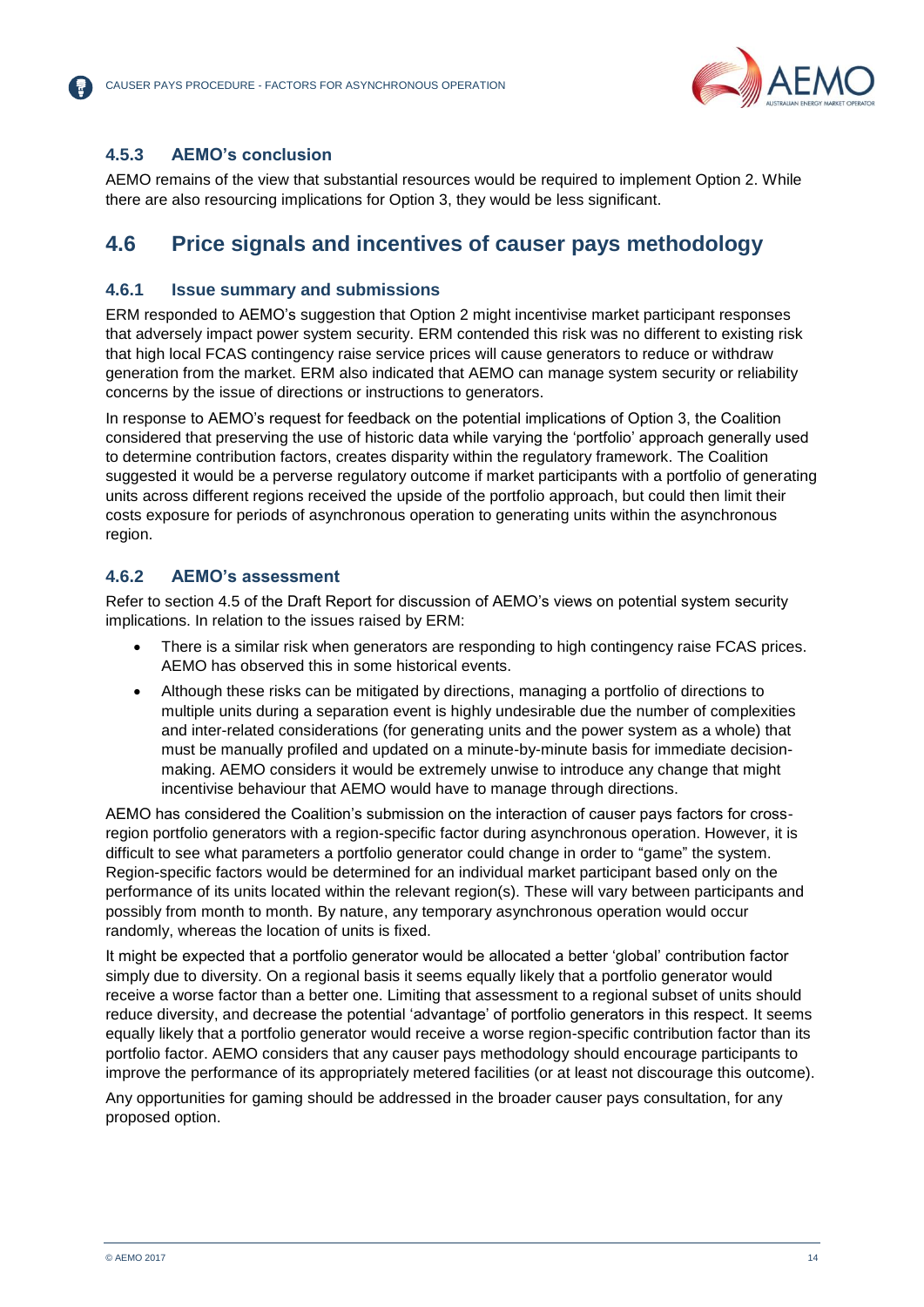

### **4.5.3 AEMO's conclusion**

AEMO remains of the view that substantial resources would be required to implement Option 2. While there are also resourcing implications for Option 3, they would be less significant.

## <span id="page-13-0"></span>**4.6 Price signals and incentives of causer pays methodology**

### **4.6.1 Issue summary and submissions**

ERM responded to AEMO's suggestion that Option 2 might incentivise market participant responses that adversely impact power system security. ERM contended this risk was no different to existing risk that high local FCAS contingency raise service prices will cause generators to reduce or withdraw generation from the market. ERM also indicated that AEMO can manage system security or reliability concerns by the issue of directions or instructions to generators.

In response to AEMO's request for feedback on the potential implications of Option 3, the Coalition considered that preserving the use of historic data while varying the 'portfolio' approach generally used to determine contribution factors, creates disparity within the regulatory framework. The Coalition suggested it would be a perverse regulatory outcome if market participants with a portfolio of generating units across different regions received the upside of the portfolio approach, but could then limit their costs exposure for periods of asynchronous operation to generating units within the asynchronous region.

#### **4.6.2 AEMO's assessment**

Refer to section 4.5 of the Draft Report for discussion of AEMO's views on potential system security implications. In relation to the issues raised by ERM:

- There is a similar risk when generators are responding to high contingency raise FCAS prices. AEMO has observed this in some historical events.
- Although these risks can be mitigated by directions, managing a portfolio of directions to multiple units during a separation event is highly undesirable due the number of complexities and inter-related considerations (for generating units and the power system as a whole) that must be manually profiled and updated on a minute-by-minute basis for immediate decisionmaking. AEMO considers it would be extremely unwise to introduce any change that might incentivise behaviour that AEMO would have to manage through directions.

AEMO has considered the Coalition's submission on the interaction of causer pays factors for crossregion portfolio generators with a region-specific factor during asynchronous operation. However, it is difficult to see what parameters a portfolio generator could change in order to "game" the system. Region-specific factors would be determined for an individual market participant based only on the performance of its units located within the relevant region(s). These will vary between participants and possibly from month to month. By nature, any temporary asynchronous operation would occur randomly, whereas the location of units is fixed.

It might be expected that a portfolio generator would be allocated a better 'global' contribution factor simply due to diversity. On a regional basis it seems equally likely that a portfolio generator would receive a worse factor than a better one. Limiting that assessment to a regional subset of units should reduce diversity, and decrease the potential 'advantage' of portfolio generators in this respect. It seems equally likely that a portfolio generator would receive a worse region-specific contribution factor than its portfolio factor. AEMO considers that any causer pays methodology should encourage participants to improve the performance of its appropriately metered facilities (or at least not discourage this outcome).

Any opportunities for gaming should be addressed in the broader causer pays consultation, for any proposed option.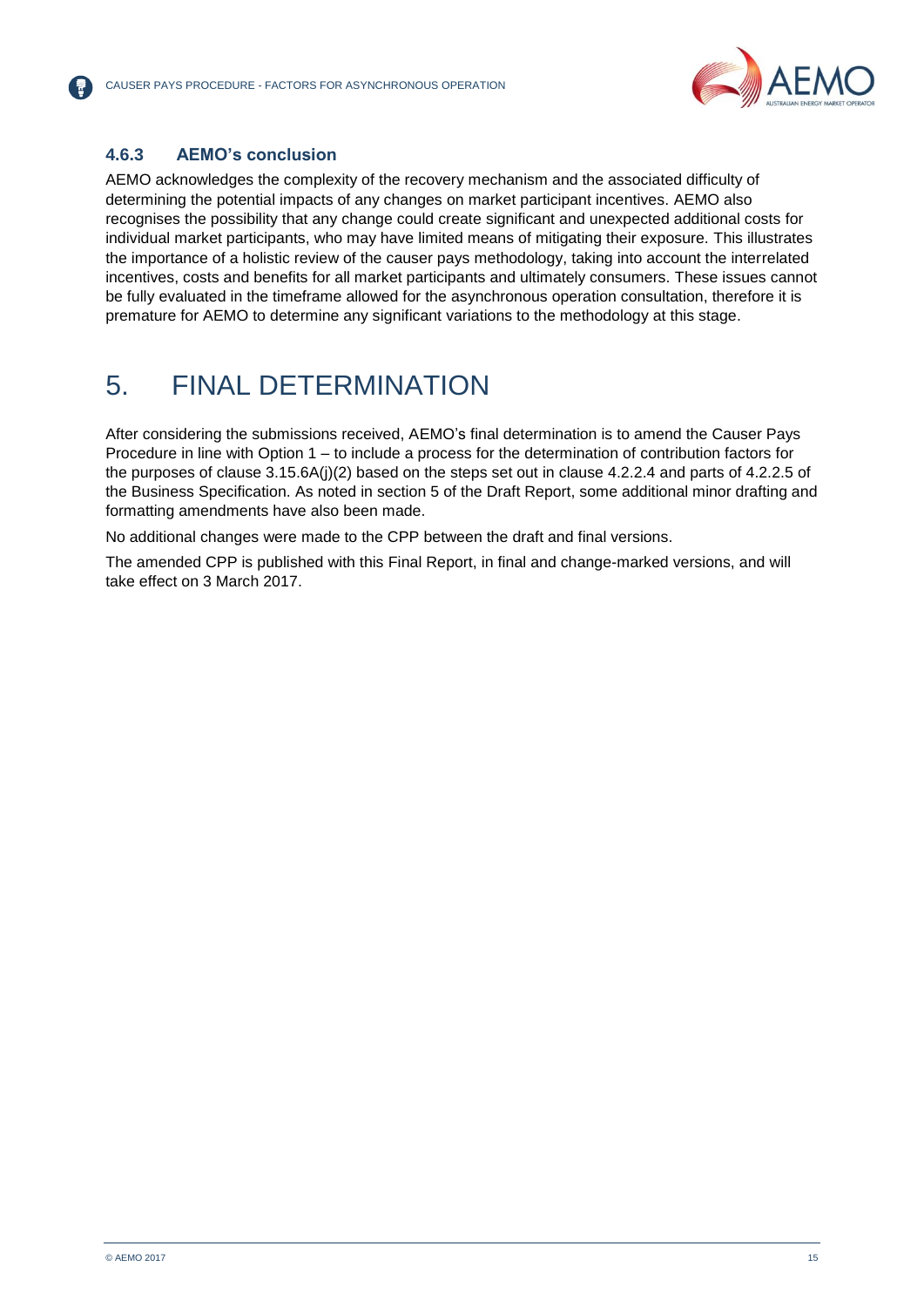

## **4.6.3 AEMO's conclusion**

AEMO acknowledges the complexity of the recovery mechanism and the associated difficulty of determining the potential impacts of any changes on market participant incentives. AEMO also recognises the possibility that any change could create significant and unexpected additional costs for individual market participants, who may have limited means of mitigating their exposure. This illustrates the importance of a holistic review of the causer pays methodology, taking into account the interrelated incentives, costs and benefits for all market participants and ultimately consumers. These issues cannot be fully evaluated in the timeframe allowed for the asynchronous operation consultation, therefore it is premature for AEMO to determine any significant variations to the methodology at this stage.

## <span id="page-14-0"></span>5. FINAL DETERMINATION

After considering the submissions received, AEMO's final determination is to amend the Causer Pays Procedure in line with Option 1 – to include a process for the determination of contribution factors for the purposes of clause 3.15.6A(j)(2) based on the steps set out in clause 4.2.2.4 and parts of 4.2.2.5 of the Business Specification. As noted in section 5 of the Draft Report, some additional minor drafting and formatting amendments have also been made.

No additional changes were made to the CPP between the draft and final versions.

The amended CPP is published with this Final Report, in final and change-marked versions, and will take effect on 3 March 2017.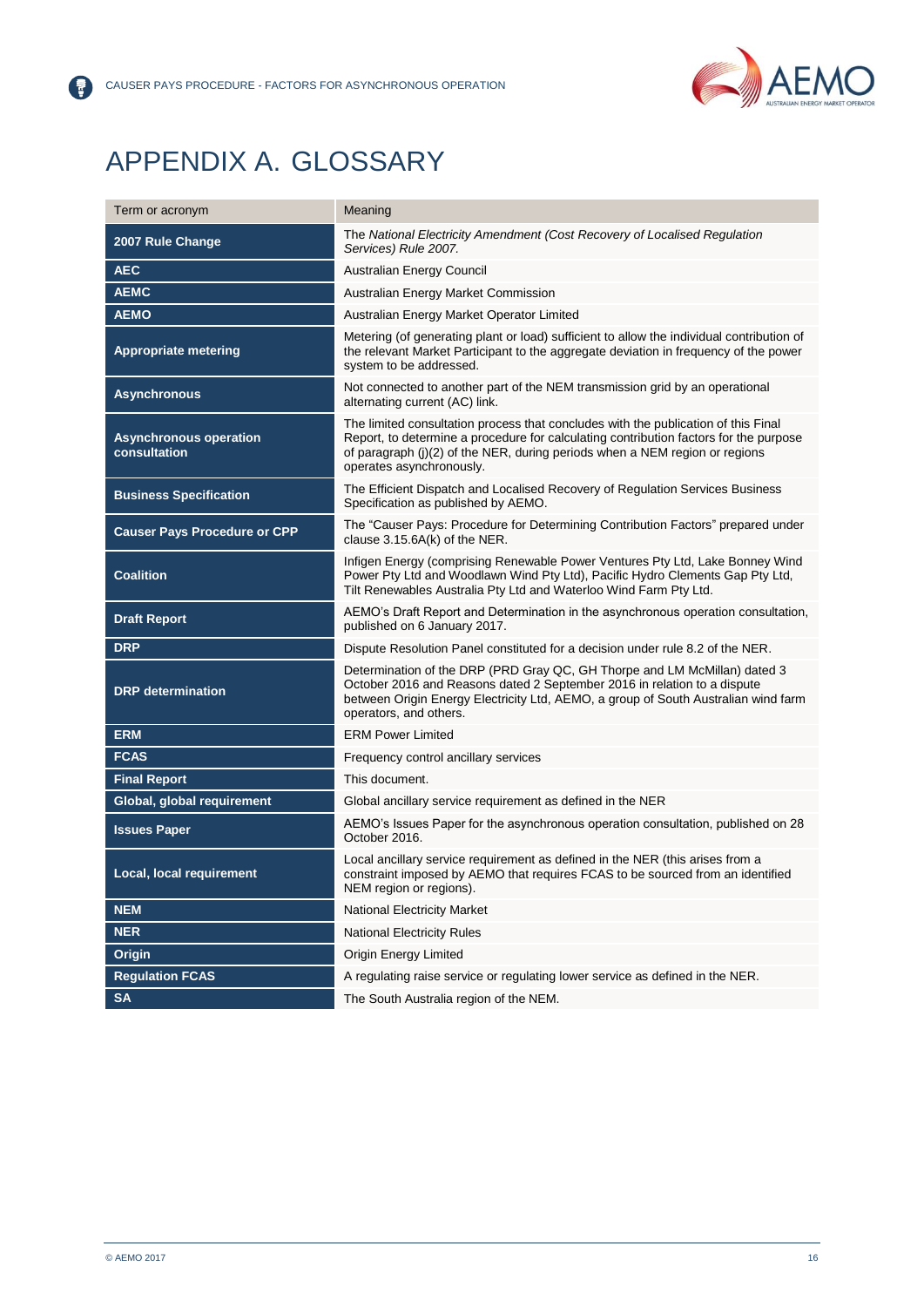

## <span id="page-15-0"></span>APPENDIX A. GLOSSARY

8

| Term or acronym                               | Meaning                                                                                                                                                                                                                                                                                |  |
|-----------------------------------------------|----------------------------------------------------------------------------------------------------------------------------------------------------------------------------------------------------------------------------------------------------------------------------------------|--|
| 2007 Rule Change                              | The National Electricity Amendment (Cost Recovery of Localised Regulation<br>Services) Rule 2007.                                                                                                                                                                                      |  |
| <b>AEC</b>                                    | Australian Energy Council                                                                                                                                                                                                                                                              |  |
| <b>AEMC</b>                                   | Australian Energy Market Commission                                                                                                                                                                                                                                                    |  |
| <b>AEMO</b>                                   | Australian Energy Market Operator Limited                                                                                                                                                                                                                                              |  |
| <b>Appropriate metering</b>                   | Metering (of generating plant or load) sufficient to allow the individual contribution of<br>the relevant Market Participant to the aggregate deviation in frequency of the power<br>system to be addressed.                                                                           |  |
| <b>Asynchronous</b>                           | Not connected to another part of the NEM transmission grid by an operational<br>alternating current (AC) link.                                                                                                                                                                         |  |
| <b>Asynchronous operation</b><br>consultation | The limited consultation process that concludes with the publication of this Final<br>Report, to determine a procedure for calculating contribution factors for the purpose<br>of paragraph (j)(2) of the NER, during periods when a NEM region or regions<br>operates asynchronously. |  |
| <b>Business Specification</b>                 | The Efficient Dispatch and Localised Recovery of Regulation Services Business<br>Specification as published by AEMO.                                                                                                                                                                   |  |
| <b>Causer Pays Procedure or CPP</b>           | The "Causer Pays: Procedure for Determining Contribution Factors" prepared under<br>clause 3.15.6A(k) of the NER.                                                                                                                                                                      |  |
| <b>Coalition</b>                              | Infigen Energy (comprising Renewable Power Ventures Pty Ltd, Lake Bonney Wind<br>Power Pty Ltd and Woodlawn Wind Pty Ltd), Pacific Hydro Clements Gap Pty Ltd,<br>Tilt Renewables Australia Pty Ltd and Waterloo Wind Farm Pty Ltd.                                                    |  |
| <b>Draft Report</b>                           | AEMO's Draft Report and Determination in the asynchronous operation consultation,<br>published on 6 January 2017.                                                                                                                                                                      |  |
| <b>DRP</b>                                    | Dispute Resolution Panel constituted for a decision under rule 8.2 of the NER.                                                                                                                                                                                                         |  |
| <b>DRP</b> determination                      | Determination of the DRP (PRD Gray QC, GH Thorpe and LM McMillan) dated 3<br>October 2016 and Reasons dated 2 September 2016 in relation to a dispute<br>between Origin Energy Electricity Ltd, AEMO, a group of South Australian wind farm<br>operators, and others.                  |  |
| <b>ERM</b>                                    | <b>ERM Power Limited</b>                                                                                                                                                                                                                                                               |  |
| <b>FCAS</b>                                   | Frequency control ancillary services                                                                                                                                                                                                                                                   |  |
| <b>Final Report</b>                           | This document.                                                                                                                                                                                                                                                                         |  |
| Global, global requirement                    | Global ancillary service requirement as defined in the NER                                                                                                                                                                                                                             |  |
| <b>Issues Paper</b>                           | AEMO's Issues Paper for the asynchronous operation consultation, published on 28<br>October 2016.                                                                                                                                                                                      |  |
| Local, local requirement                      | Local ancillary service requirement as defined in the NER (this arises from a<br>constraint imposed by AEMO that requires FCAS to be sourced from an identified<br>NEM region or regions).                                                                                             |  |
| <b>NEM</b>                                    | National Electricity Market                                                                                                                                                                                                                                                            |  |
| <b>NER</b>                                    | National Electricity Rules                                                                                                                                                                                                                                                             |  |
| Origin                                        | Origin Energy Limited                                                                                                                                                                                                                                                                  |  |
| <b>Regulation FCAS</b>                        | A regulating raise service or regulating lower service as defined in the NER.                                                                                                                                                                                                          |  |
| <b>SA</b>                                     | The South Australia region of the NEM.                                                                                                                                                                                                                                                 |  |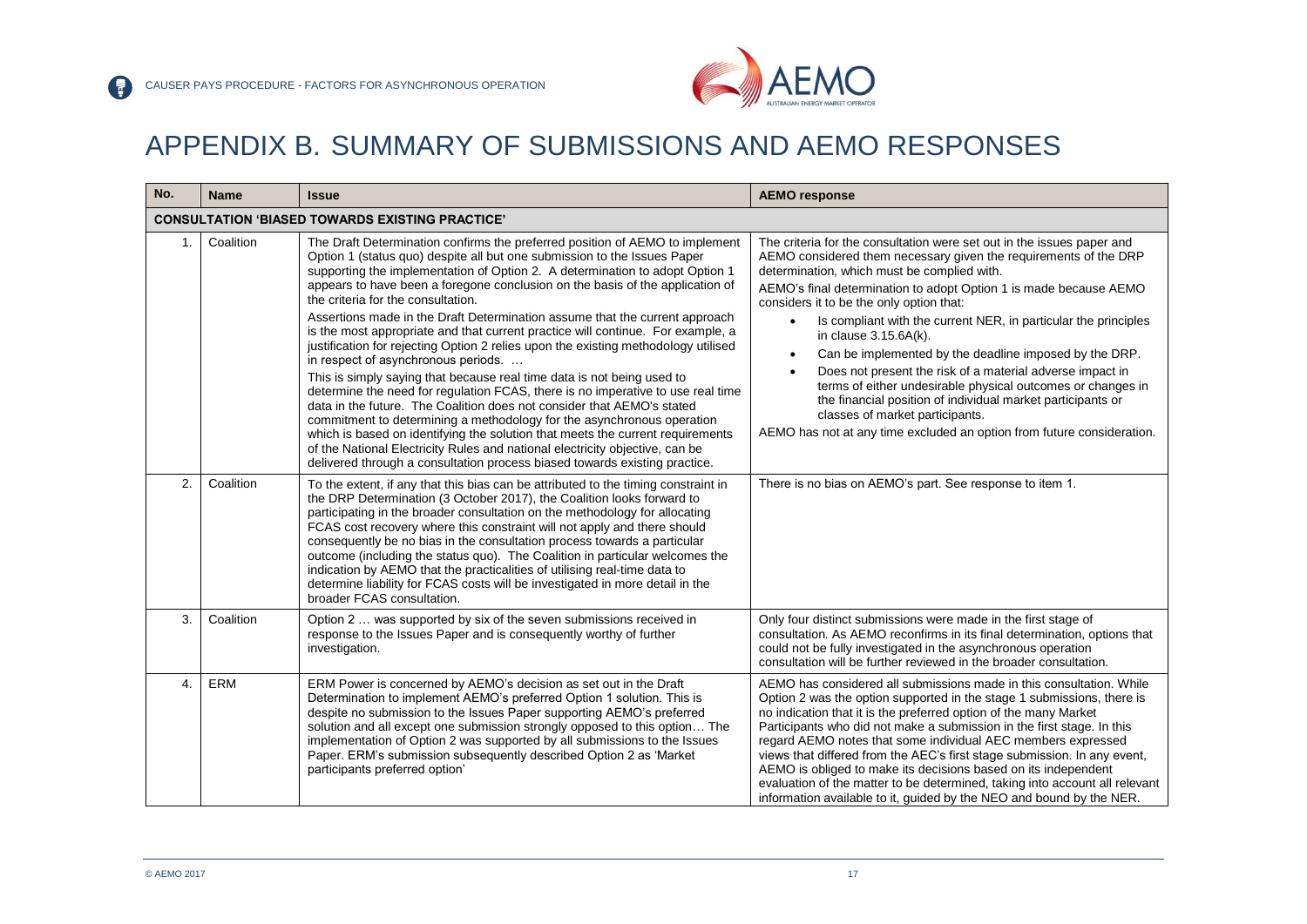

## APPENDIX B. SUMMARY OF SUBMISSIONS AND AEMO RESPONSES

<span id="page-16-0"></span>

| No.                                                    | <b>Name</b>                                                                                                                                                                                                                                                                                                                                                                                                                            | <b>Issue</b>                                                                                                                                                                                                                                                                                                                                                                                                                                                                                                                                                                                                                                                                    | <b>AEMO response</b>                                                                                                                                                                                                                                                                                                                                                                                                                                                                                                                                                                                                                                              |
|--------------------------------------------------------|----------------------------------------------------------------------------------------------------------------------------------------------------------------------------------------------------------------------------------------------------------------------------------------------------------------------------------------------------------------------------------------------------------------------------------------|---------------------------------------------------------------------------------------------------------------------------------------------------------------------------------------------------------------------------------------------------------------------------------------------------------------------------------------------------------------------------------------------------------------------------------------------------------------------------------------------------------------------------------------------------------------------------------------------------------------------------------------------------------------------------------|-------------------------------------------------------------------------------------------------------------------------------------------------------------------------------------------------------------------------------------------------------------------------------------------------------------------------------------------------------------------------------------------------------------------------------------------------------------------------------------------------------------------------------------------------------------------------------------------------------------------------------------------------------------------|
| <b>CONSULTATION 'BIASED TOWARDS EXISTING PRACTICE'</b> |                                                                                                                                                                                                                                                                                                                                                                                                                                        |                                                                                                                                                                                                                                                                                                                                                                                                                                                                                                                                                                                                                                                                                 |                                                                                                                                                                                                                                                                                                                                                                                                                                                                                                                                                                                                                                                                   |
| $\mathbf{1}$ .                                         | Coalition                                                                                                                                                                                                                                                                                                                                                                                                                              | The Draft Determination confirms the preferred position of AEMO to implement<br>Option 1 (status quo) despite all but one submission to the Issues Paper<br>supporting the implementation of Option 2. A determination to adopt Option 1<br>appears to have been a foregone conclusion on the basis of the application of<br>the criteria for the consultation.<br>Assertions made in the Draft Determination assume that the current approach                                                                                                                                                                                                                                  | The criteria for the consultation were set out in the issues paper and<br>AEMO considered them necessary given the requirements of the DRP<br>determination, which must be complied with.<br>AEMO's final determination to adopt Option 1 is made because AEMO<br>considers it to be the only option that:<br>Is compliant with the current NER, in particular the principles                                                                                                                                                                                                                                                                                     |
|                                                        |                                                                                                                                                                                                                                                                                                                                                                                                                                        | is the most appropriate and that current practice will continue. For example, a<br>justification for rejecting Option 2 relies upon the existing methodology utilised                                                                                                                                                                                                                                                                                                                                                                                                                                                                                                           | in clause 3.15.6A(k).<br>Can be implemented by the deadline imposed by the DRP.                                                                                                                                                                                                                                                                                                                                                                                                                                                                                                                                                                                   |
|                                                        | in respect of asynchronous periods.<br>This is simply saying that because real time data is not being used to<br>determine the need for regulation FCAS, there is no imperative to use real time<br>data in the future. The Coalition does not consider that AEMO's stated<br>commitment to determining a methodology for the asynchronous operation<br>which is based on identifying the solution that meets the current requirements | Does not present the risk of a material adverse impact in<br>$\bullet$<br>terms of either undesirable physical outcomes or changes in<br>the financial position of individual market participants or<br>classes of market participants.<br>AEMO has not at any time excluded an option from future consideration.                                                                                                                                                                                                                                                                                                                                                               |                                                                                                                                                                                                                                                                                                                                                                                                                                                                                                                                                                                                                                                                   |
|                                                        |                                                                                                                                                                                                                                                                                                                                                                                                                                        | of the National Electricity Rules and national electricity objective, can be<br>delivered through a consultation process biased towards existing practice.                                                                                                                                                                                                                                                                                                                                                                                                                                                                                                                      |                                                                                                                                                                                                                                                                                                                                                                                                                                                                                                                                                                                                                                                                   |
| 2.                                                     | Coalition                                                                                                                                                                                                                                                                                                                                                                                                                              | To the extent, if any that this bias can be attributed to the timing constraint in<br>the DRP Determination (3 October 2017), the Coalition looks forward to<br>participating in the broader consultation on the methodology for allocating<br>FCAS cost recovery where this constraint will not apply and there should<br>consequently be no bias in the consultation process towards a particular<br>outcome (including the status quo). The Coalition in particular welcomes the<br>indication by AEMO that the practicalities of utilising real-time data to<br>determine liability for FCAS costs will be investigated in more detail in the<br>broader FCAS consultation. | There is no bias on AEMO's part. See response to item 1.                                                                                                                                                                                                                                                                                                                                                                                                                                                                                                                                                                                                          |
| 3.                                                     | Coalition                                                                                                                                                                                                                                                                                                                                                                                                                              | Option 2  was supported by six of the seven submissions received in<br>response to the Issues Paper and is consequently worthy of further<br>investigation.                                                                                                                                                                                                                                                                                                                                                                                                                                                                                                                     | Only four distinct submissions were made in the first stage of<br>consultation. As AEMO reconfirms in its final determination, options that<br>could not be fully investigated in the asynchronous operation<br>consultation will be further reviewed in the broader consultation.                                                                                                                                                                                                                                                                                                                                                                                |
| $\overline{4}$ .                                       | <b>ERM</b>                                                                                                                                                                                                                                                                                                                                                                                                                             | ERM Power is concerned by AEMO's decision as set out in the Draft<br>Determination to implement AEMO's preferred Option 1 solution. This is<br>despite no submission to the Issues Paper supporting AEMO's preferred<br>solution and all except one submission strongly opposed to this option The<br>implementation of Option 2 was supported by all submissions to the Issues<br>Paper. ERM's submission subsequently described Option 2 as 'Market<br>participants preferred option'                                                                                                                                                                                         | AEMO has considered all submissions made in this consultation. While<br>Option 2 was the option supported in the stage 1 submissions, there is<br>no indication that it is the preferred option of the many Market<br>Participants who did not make a submission in the first stage. In this<br>regard AEMO notes that some individual AEC members expressed<br>views that differed from the AEC's first stage submission. In any event,<br>AEMO is obliged to make its decisions based on its independent<br>evaluation of the matter to be determined, taking into account all relevant<br>information available to it, guided by the NEO and bound by the NER. |

P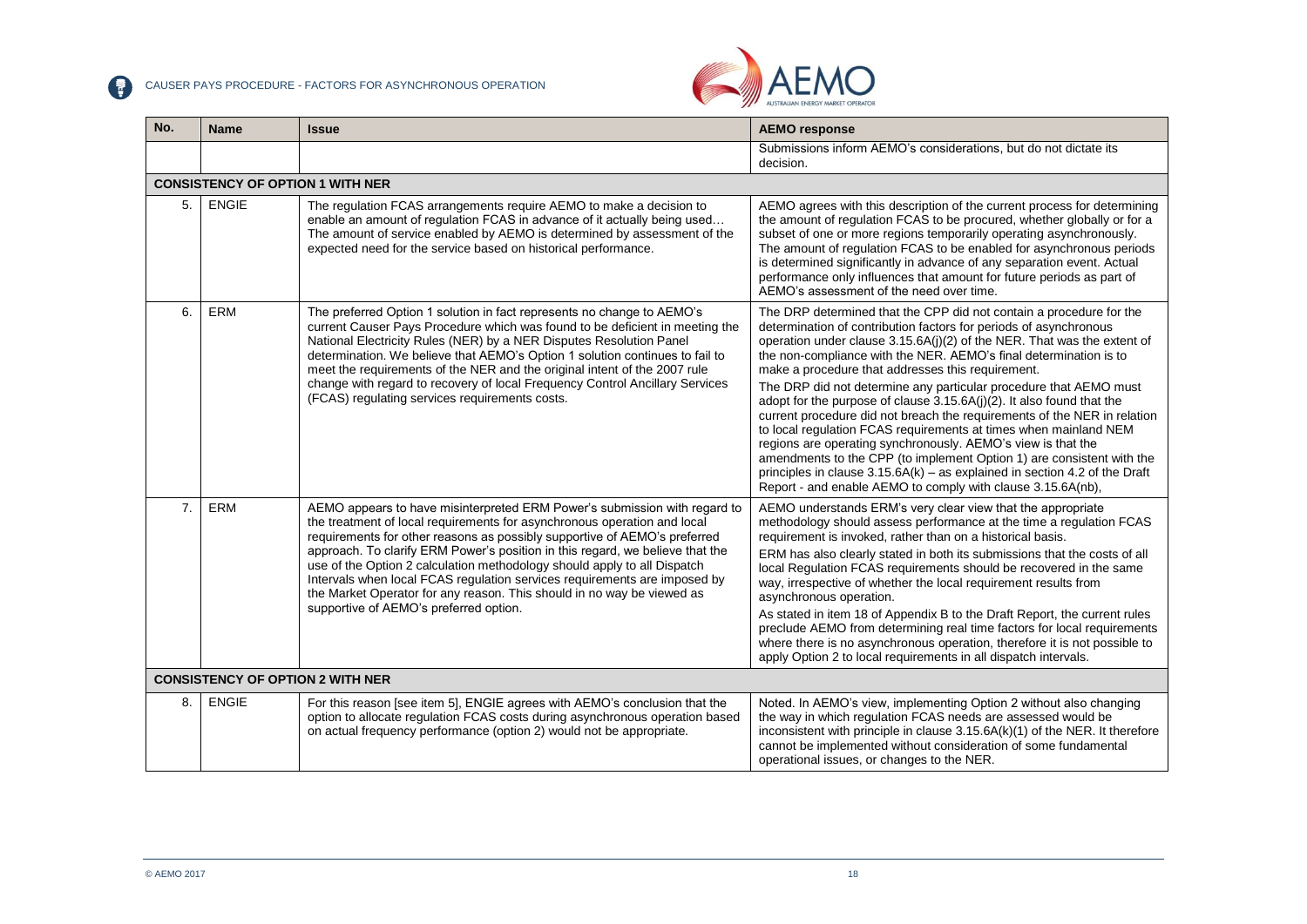

<span id="page-17-2"></span><span id="page-17-1"></span><span id="page-17-0"></span>

| No.              | <b>Name</b>                             | <b>Issue</b>                                                                                                                                                                                                                                                                                                                                                                                                                                                                                                                                                                                     | <b>AEMO response</b>                                                                                                                                                                                                                                                                                                                                                                                                                                                                                                                                                                                                                                                                                                                                                                                                                                                                                                                |  |
|------------------|-----------------------------------------|--------------------------------------------------------------------------------------------------------------------------------------------------------------------------------------------------------------------------------------------------------------------------------------------------------------------------------------------------------------------------------------------------------------------------------------------------------------------------------------------------------------------------------------------------------------------------------------------------|-------------------------------------------------------------------------------------------------------------------------------------------------------------------------------------------------------------------------------------------------------------------------------------------------------------------------------------------------------------------------------------------------------------------------------------------------------------------------------------------------------------------------------------------------------------------------------------------------------------------------------------------------------------------------------------------------------------------------------------------------------------------------------------------------------------------------------------------------------------------------------------------------------------------------------------|--|
|                  |                                         |                                                                                                                                                                                                                                                                                                                                                                                                                                                                                                                                                                                                  | Submissions inform AEMO's considerations, but do not dictate its<br>decision.                                                                                                                                                                                                                                                                                                                                                                                                                                                                                                                                                                                                                                                                                                                                                                                                                                                       |  |
|                  | <b>CONSISTENCY OF OPTION 1 WITH NER</b> |                                                                                                                                                                                                                                                                                                                                                                                                                                                                                                                                                                                                  |                                                                                                                                                                                                                                                                                                                                                                                                                                                                                                                                                                                                                                                                                                                                                                                                                                                                                                                                     |  |
| 5.               | <b>ENGIE</b>                            | The regulation FCAS arrangements require AEMO to make a decision to<br>enable an amount of regulation FCAS in advance of it actually being used<br>The amount of service enabled by AEMO is determined by assessment of the<br>expected need for the service based on historical performance.                                                                                                                                                                                                                                                                                                    | AEMO agrees with this description of the current process for determining<br>the amount of regulation FCAS to be procured, whether globally or for a<br>subset of one or more regions temporarily operating asynchronously.<br>The amount of regulation FCAS to be enabled for asynchronous periods<br>is determined significantly in advance of any separation event. Actual<br>performance only influences that amount for future periods as part of<br>AEMO's assessment of the need over time.                                                                                                                                                                                                                                                                                                                                                                                                                                   |  |
| 6.               | ERM                                     | The preferred Option 1 solution in fact represents no change to AEMO's<br>current Causer Pays Procedure which was found to be deficient in meeting the<br>National Electricity Rules (NER) by a NER Disputes Resolution Panel<br>determination. We believe that AEMO's Option 1 solution continues to fail to<br>meet the requirements of the NER and the original intent of the 2007 rule<br>change with regard to recovery of local Frequency Control Ancillary Services<br>(FCAS) regulating services requirements costs.                                                                     | The DRP determined that the CPP did not contain a procedure for the<br>determination of contribution factors for periods of asynchronous<br>operation under clause 3.15.6A(j)(2) of the NER. That was the extent of<br>the non-compliance with the NER. AEMO's final determination is to<br>make a procedure that addresses this requirement.<br>The DRP did not determine any particular procedure that AEMO must<br>adopt for the purpose of clause 3.15.6A(j)(2). It also found that the<br>current procedure did not breach the requirements of the NER in relation<br>to local regulation FCAS requirements at times when mainland NEM<br>regions are operating synchronously. AEMO's view is that the<br>amendments to the CPP (to implement Option 1) are consistent with the<br>principles in clause $3.15.6A(k)$ – as explained in section 4.2 of the Draft<br>Report - and enable AEMO to comply with clause 3.15.6A(nb), |  |
| $\overline{7}$ . | ERM                                     | AEMO appears to have misinterpreted ERM Power's submission with regard to<br>the treatment of local requirements for asynchronous operation and local<br>requirements for other reasons as possibly supportive of AEMO's preferred<br>approach. To clarify ERM Power's position in this regard, we believe that the<br>use of the Option 2 calculation methodology should apply to all Dispatch<br>Intervals when local FCAS regulation services requirements are imposed by<br>the Market Operator for any reason. This should in no way be viewed as<br>supportive of AEMO's preferred option. | AEMO understands ERM's very clear view that the appropriate<br>methodology should assess performance at the time a regulation FCAS<br>requirement is invoked, rather than on a historical basis.<br>ERM has also clearly stated in both its submissions that the costs of all<br>local Regulation FCAS requirements should be recovered in the same<br>way, irrespective of whether the local requirement results from<br>asynchronous operation.<br>As stated in item 18 of Appendix B to the Draft Report, the current rules<br>preclude AEMO from determining real time factors for local requirements<br>where there is no asynchronous operation, therefore it is not possible to<br>apply Option 2 to local requirements in all dispatch intervals.                                                                                                                                                                           |  |
|                  | <b>CONSISTENCY OF OPTION 2 WITH NER</b> |                                                                                                                                                                                                                                                                                                                                                                                                                                                                                                                                                                                                  |                                                                                                                                                                                                                                                                                                                                                                                                                                                                                                                                                                                                                                                                                                                                                                                                                                                                                                                                     |  |
| 8.               | <b>ENGIE</b>                            | For this reason [see item 5], ENGIE agrees with AEMO's conclusion that the<br>option to allocate regulation FCAS costs during asynchronous operation based<br>on actual frequency performance (option 2) would not be appropriate.                                                                                                                                                                                                                                                                                                                                                               | Noted. In AEMO's view, implementing Option 2 without also changing<br>the way in which regulation FCAS needs are assessed would be<br>inconsistent with principle in clause 3.15.6A(k)(1) of the NER. It therefore<br>cannot be implemented without consideration of some fundamental<br>operational issues, or changes to the NER.                                                                                                                                                                                                                                                                                                                                                                                                                                                                                                                                                                                                 |  |

 $\bullet$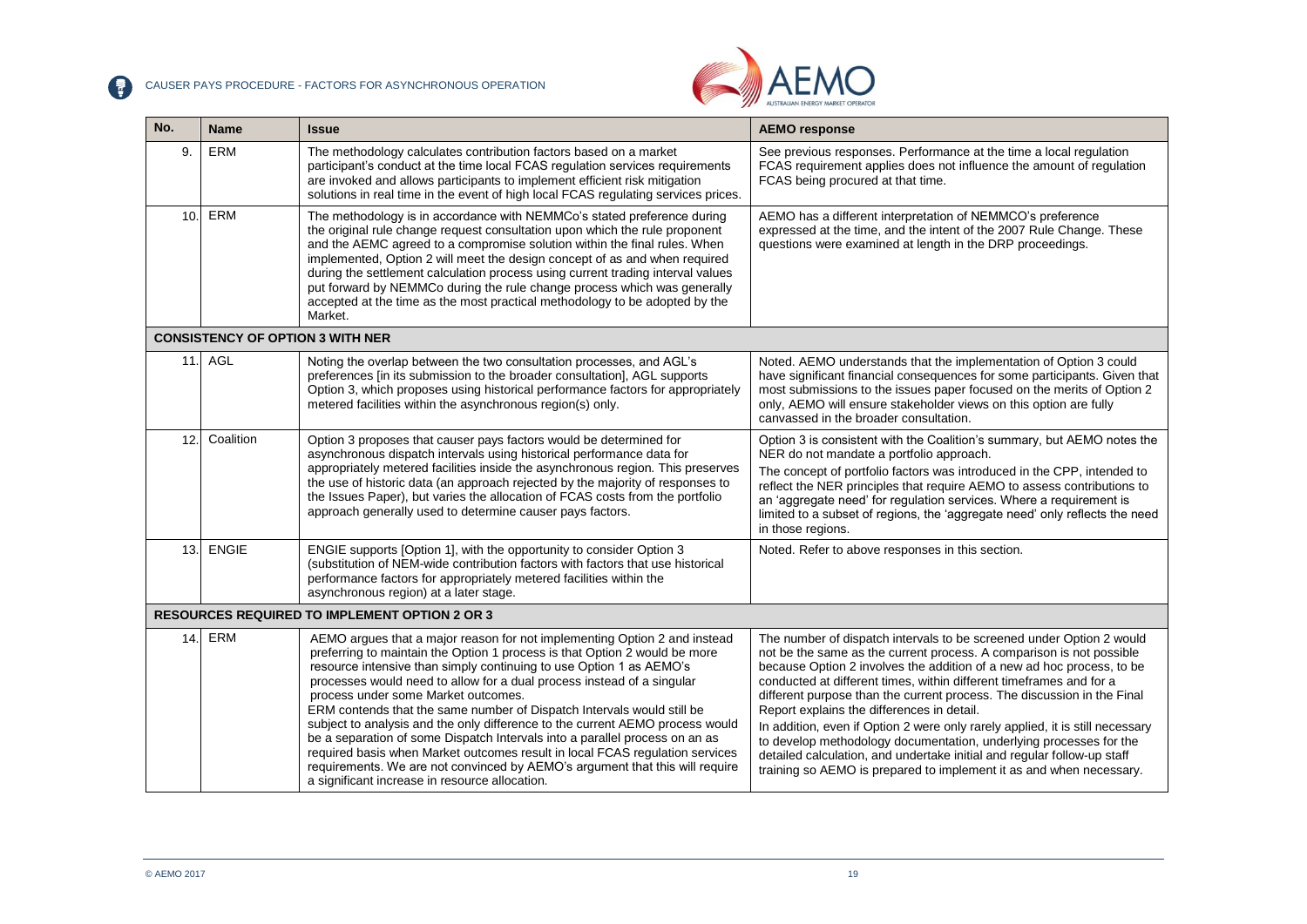CAUSER PAYS PROCEDURE - FACTORS FOR ASYNCHRONOUS OPERATION



<span id="page-18-1"></span><span id="page-18-0"></span>

| No.                                                  | <b>Name</b>                             | <b>Issue</b>                                                                                                                                                                                                                                                                                                                                                                                                                                                                                                                                                                                                                                                                                                                                                                                                | <b>AEMO response</b>                                                                                                                                                                                                                                                                                                                                                                                                                                                                                                                                                                                                                                                                                                           |
|------------------------------------------------------|-----------------------------------------|-------------------------------------------------------------------------------------------------------------------------------------------------------------------------------------------------------------------------------------------------------------------------------------------------------------------------------------------------------------------------------------------------------------------------------------------------------------------------------------------------------------------------------------------------------------------------------------------------------------------------------------------------------------------------------------------------------------------------------------------------------------------------------------------------------------|--------------------------------------------------------------------------------------------------------------------------------------------------------------------------------------------------------------------------------------------------------------------------------------------------------------------------------------------------------------------------------------------------------------------------------------------------------------------------------------------------------------------------------------------------------------------------------------------------------------------------------------------------------------------------------------------------------------------------------|
| 9.                                                   | <b>ERM</b>                              | The methodology calculates contribution factors based on a market<br>participant's conduct at the time local FCAS regulation services requirements<br>are invoked and allows participants to implement efficient risk mitigation<br>solutions in real time in the event of high local FCAS regulating services prices.                                                                                                                                                                                                                                                                                                                                                                                                                                                                                      | See previous responses. Performance at the time a local regulation<br>FCAS requirement applies does not influence the amount of regulation<br>FCAS being procured at that time.                                                                                                                                                                                                                                                                                                                                                                                                                                                                                                                                                |
| 10.                                                  | ERM                                     | The methodology is in accordance with NEMMCo's stated preference during<br>the original rule change request consultation upon which the rule proponent<br>and the AEMC agreed to a compromise solution within the final rules. When<br>implemented, Option 2 will meet the design concept of as and when required<br>during the settlement calculation process using current trading interval values<br>put forward by NEMMCo during the rule change process which was generally<br>accepted at the time as the most practical methodology to be adopted by the<br>Market.                                                                                                                                                                                                                                  | AEMO has a different interpretation of NEMMCO's preference<br>expressed at the time, and the intent of the 2007 Rule Change. These<br>questions were examined at length in the DRP proceedings.                                                                                                                                                                                                                                                                                                                                                                                                                                                                                                                                |
|                                                      | <b>CONSISTENCY OF OPTION 3 WITH NER</b> |                                                                                                                                                                                                                                                                                                                                                                                                                                                                                                                                                                                                                                                                                                                                                                                                             |                                                                                                                                                                                                                                                                                                                                                                                                                                                                                                                                                                                                                                                                                                                                |
| 11.                                                  | AGL                                     | Noting the overlap between the two consultation processes, and AGL's<br>preferences [in its submission to the broader consultation], AGL supports<br>Option 3, which proposes using historical performance factors for appropriately<br>metered facilities within the asynchronous region(s) only.                                                                                                                                                                                                                                                                                                                                                                                                                                                                                                          | Noted. AEMO understands that the implementation of Option 3 could<br>have significant financial consequences for some participants. Given that<br>most submissions to the issues paper focused on the merits of Option 2<br>only, AEMO will ensure stakeholder views on this option are fully<br>canvassed in the broader consultation.                                                                                                                                                                                                                                                                                                                                                                                        |
| 12.                                                  | Coalition                               | Option 3 proposes that causer pays factors would be determined for<br>asynchronous dispatch intervals using historical performance data for<br>appropriately metered facilities inside the asynchronous region. This preserves<br>the use of historic data (an approach rejected by the majority of responses to<br>the Issues Paper), but varies the allocation of FCAS costs from the portfolio<br>approach generally used to determine causer pays factors.                                                                                                                                                                                                                                                                                                                                              | Option 3 is consistent with the Coalition's summary, but AEMO notes the<br>NER do not mandate a portfolio approach.<br>The concept of portfolio factors was introduced in the CPP, intended to<br>reflect the NER principles that require AEMO to assess contributions to<br>an 'aggregate need' for regulation services. Where a requirement is<br>limited to a subset of regions, the 'aggregate need' only reflects the need<br>in those regions.                                                                                                                                                                                                                                                                           |
| 13.                                                  | <b>ENGIE</b>                            | ENGIE supports [Option 1], with the opportunity to consider Option 3<br>(substitution of NEM-wide contribution factors with factors that use historical<br>performance factors for appropriately metered facilities within the<br>asynchronous region) at a later stage.                                                                                                                                                                                                                                                                                                                                                                                                                                                                                                                                    | Noted. Refer to above responses in this section.                                                                                                                                                                                                                                                                                                                                                                                                                                                                                                                                                                                                                                                                               |
| <b>RESOURCES REQUIRED TO IMPLEMENT OPTION 2 OR 3</b> |                                         |                                                                                                                                                                                                                                                                                                                                                                                                                                                                                                                                                                                                                                                                                                                                                                                                             |                                                                                                                                                                                                                                                                                                                                                                                                                                                                                                                                                                                                                                                                                                                                |
| 14.                                                  | ERM                                     | AEMO argues that a major reason for not implementing Option 2 and instead<br>preferring to maintain the Option 1 process is that Option 2 would be more<br>resource intensive than simply continuing to use Option 1 as AEMO's<br>processes would need to allow for a dual process instead of a singular<br>process under some Market outcomes.<br>ERM contends that the same number of Dispatch Intervals would still be<br>subject to analysis and the only difference to the current AEMO process would<br>be a separation of some Dispatch Intervals into a parallel process on an as<br>required basis when Market outcomes result in local FCAS regulation services<br>requirements. We are not convinced by AEMO's argument that this will require<br>a significant increase in resource allocation. | The number of dispatch intervals to be screened under Option 2 would<br>not be the same as the current process. A comparison is not possible<br>because Option 2 involves the addition of a new ad hoc process, to be<br>conducted at different times, within different timeframes and for a<br>different purpose than the current process. The discussion in the Final<br>Report explains the differences in detail.<br>In addition, even if Option 2 were only rarely applied, it is still necessary<br>to develop methodology documentation, underlying processes for the<br>detailed calculation, and undertake initial and regular follow-up staff<br>training so AEMO is prepared to implement it as and when necessary. |

 $\bullet$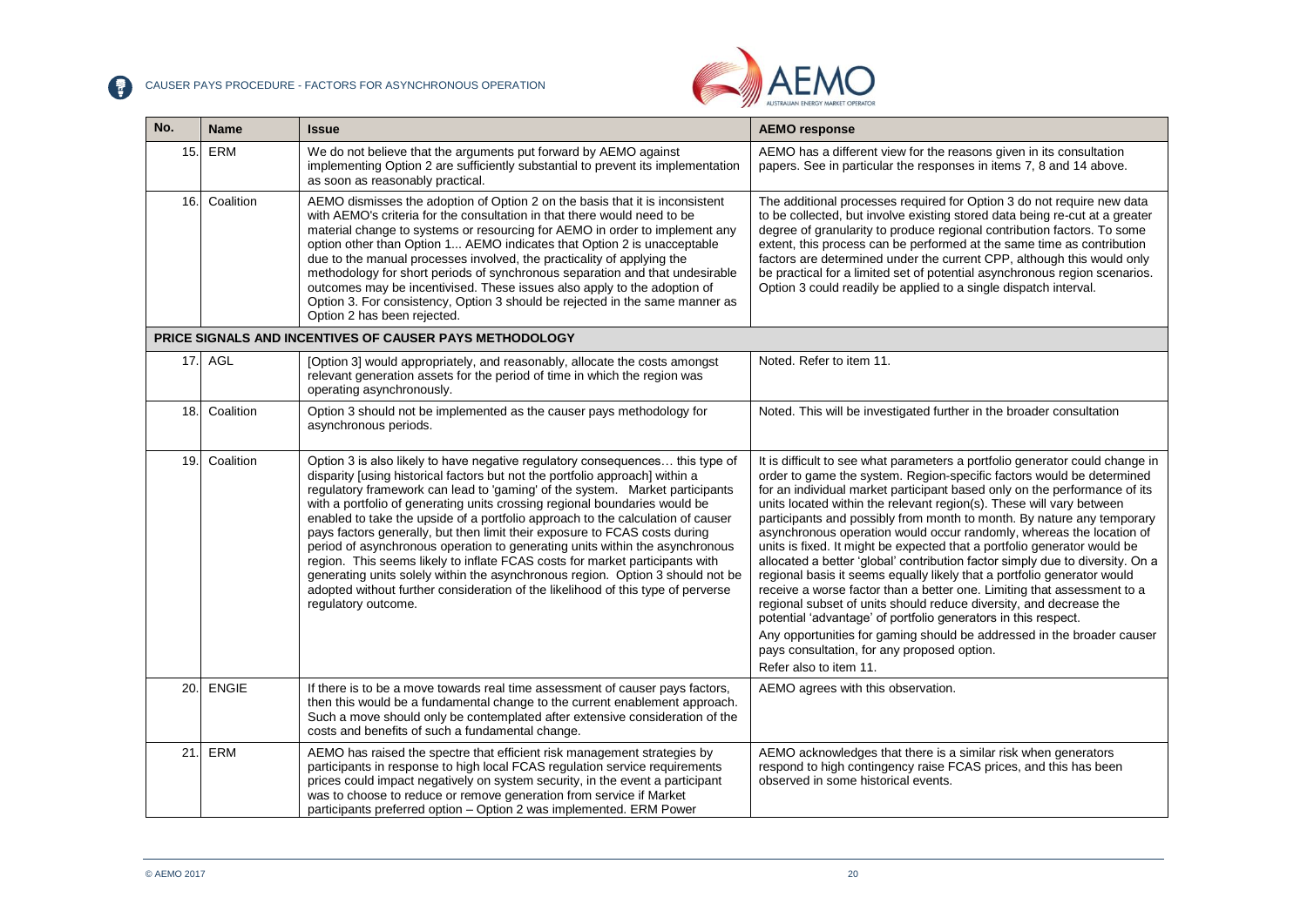CAUSER PAYS PROCEDURE - FACTORS FOR ASYNCHRONOUS OPERATION



| No.  | <b>Name</b>  | <b>Issue</b>                                                                                                                                                                                                                                                                                                                                                                                                                                                                                                                                                                                                                                                                                                                                                                                                                                              | <b>AEMO</b> response                                                                                                                                                                                                                                                                                                                                                                                                                                                                                                                                                                                                                                                                                                                                                                                                                                                                                                                                                                                                                                                       |
|------|--------------|-----------------------------------------------------------------------------------------------------------------------------------------------------------------------------------------------------------------------------------------------------------------------------------------------------------------------------------------------------------------------------------------------------------------------------------------------------------------------------------------------------------------------------------------------------------------------------------------------------------------------------------------------------------------------------------------------------------------------------------------------------------------------------------------------------------------------------------------------------------|----------------------------------------------------------------------------------------------------------------------------------------------------------------------------------------------------------------------------------------------------------------------------------------------------------------------------------------------------------------------------------------------------------------------------------------------------------------------------------------------------------------------------------------------------------------------------------------------------------------------------------------------------------------------------------------------------------------------------------------------------------------------------------------------------------------------------------------------------------------------------------------------------------------------------------------------------------------------------------------------------------------------------------------------------------------------------|
| 15.  | ERM          | We do not believe that the arguments put forward by AEMO against<br>implementing Option 2 are sufficiently substantial to prevent its implementation<br>as soon as reasonably practical.                                                                                                                                                                                                                                                                                                                                                                                                                                                                                                                                                                                                                                                                  | AEMO has a different view for the reasons given in its consultation<br>papers. See in particular the responses in items 7, 8 and 14 above.                                                                                                                                                                                                                                                                                                                                                                                                                                                                                                                                                                                                                                                                                                                                                                                                                                                                                                                                 |
| 16.  | Coalition    | AEMO dismisses the adoption of Option 2 on the basis that it is inconsistent<br>with AEMO's criteria for the consultation in that there would need to be<br>material change to systems or resourcing for AEMO in order to implement any<br>option other than Option 1 AEMO indicates that Option 2 is unacceptable<br>due to the manual processes involved, the practicality of applying the<br>methodology for short periods of synchronous separation and that undesirable<br>outcomes may be incentivised. These issues also apply to the adoption of<br>Option 3. For consistency, Option 3 should be rejected in the same manner as<br>Option 2 has been rejected.                                                                                                                                                                                   | The additional processes required for Option 3 do not require new data<br>to be collected, but involve existing stored data being re-cut at a greater<br>degree of granularity to produce regional contribution factors. To some<br>extent, this process can be performed at the same time as contribution<br>factors are determined under the current CPP, although this would only<br>be practical for a limited set of potential asynchronous region scenarios.<br>Option 3 could readily be applied to a single dispatch interval.                                                                                                                                                                                                                                                                                                                                                                                                                                                                                                                                     |
|      |              | PRICE SIGNALS AND INCENTIVES OF CAUSER PAYS METHODOLOGY                                                                                                                                                                                                                                                                                                                                                                                                                                                                                                                                                                                                                                                                                                                                                                                                   |                                                                                                                                                                                                                                                                                                                                                                                                                                                                                                                                                                                                                                                                                                                                                                                                                                                                                                                                                                                                                                                                            |
| 17.1 | AGL          | [Option 3] would appropriately, and reasonably, allocate the costs amongst<br>relevant generation assets for the period of time in which the region was<br>operating asynchronously.                                                                                                                                                                                                                                                                                                                                                                                                                                                                                                                                                                                                                                                                      | Noted. Refer to item 11.                                                                                                                                                                                                                                                                                                                                                                                                                                                                                                                                                                                                                                                                                                                                                                                                                                                                                                                                                                                                                                                   |
| 18.  | Coalition    | Option 3 should not be implemented as the causer pays methodology for<br>asynchronous periods.                                                                                                                                                                                                                                                                                                                                                                                                                                                                                                                                                                                                                                                                                                                                                            | Noted. This will be investigated further in the broader consultation                                                                                                                                                                                                                                                                                                                                                                                                                                                                                                                                                                                                                                                                                                                                                                                                                                                                                                                                                                                                       |
| 19.  | Coalition    | Option 3 is also likely to have negative regulatory consequences this type of<br>disparity [using historical factors but not the portfolio approach] within a<br>regulatory framework can lead to 'gaming' of the system. Market participants<br>with a portfolio of generating units crossing regional boundaries would be<br>enabled to take the upside of a portfolio approach to the calculation of causer<br>pays factors generally, but then limit their exposure to FCAS costs during<br>period of asynchronous operation to generating units within the asynchronous<br>region. This seems likely to inflate FCAS costs for market participants with<br>generating units solely within the asynchronous region. Option 3 should not be<br>adopted without further consideration of the likelihood of this type of perverse<br>regulatory outcome. | It is difficult to see what parameters a portfolio generator could change in<br>order to game the system. Region-specific factors would be determined<br>for an individual market participant based only on the performance of its<br>units located within the relevant region(s). These will vary between<br>participants and possibly from month to month. By nature any temporary<br>asynchronous operation would occur randomly, whereas the location of<br>units is fixed. It might be expected that a portfolio generator would be<br>allocated a better 'global' contribution factor simply due to diversity. On a<br>regional basis it seems equally likely that a portfolio generator would<br>receive a worse factor than a better one. Limiting that assessment to a<br>regional subset of units should reduce diversity, and decrease the<br>potential 'advantage' of portfolio generators in this respect.<br>Any opportunities for gaming should be addressed in the broader causer<br>pays consultation, for any proposed option.<br>Refer also to item 11. |
| 20.  | <b>ENGIE</b> | If there is to be a move towards real time assessment of causer pays factors,<br>then this would be a fundamental change to the current enablement approach.<br>Such a move should only be contemplated after extensive consideration of the<br>costs and benefits of such a fundamental change.                                                                                                                                                                                                                                                                                                                                                                                                                                                                                                                                                          | AEMO agrees with this observation.                                                                                                                                                                                                                                                                                                                                                                                                                                                                                                                                                                                                                                                                                                                                                                                                                                                                                                                                                                                                                                         |
| 21.  | ERM          | AEMO has raised the spectre that efficient risk management strategies by<br>participants in response to high local FCAS regulation service requirements<br>prices could impact negatively on system security, in the event a participant<br>was to choose to reduce or remove generation from service if Market<br>participants preferred option - Option 2 was implemented. ERM Power                                                                                                                                                                                                                                                                                                                                                                                                                                                                    | AEMO acknowledges that there is a similar risk when generators<br>respond to high contingency raise FCAS prices, and this has been<br>observed in some historical events.                                                                                                                                                                                                                                                                                                                                                                                                                                                                                                                                                                                                                                                                                                                                                                                                                                                                                                  |

 $\bullet$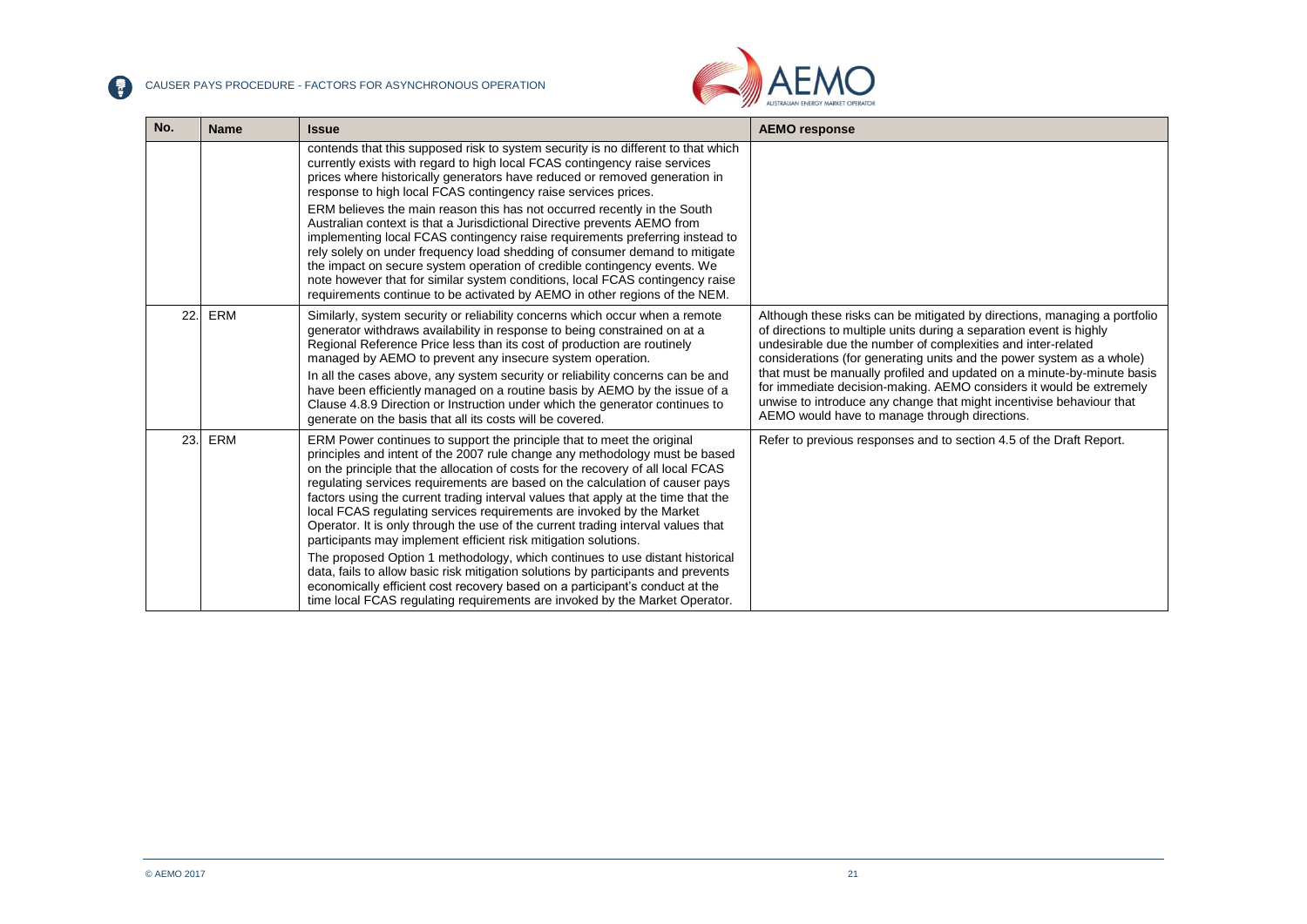CAUSER PAYS PROCEDURE - FACTORS FOR ASYNCHRONOUS OPERATION



| No. | <b>Name</b> | <b>Issue</b>                                                                                                                                                                                                                                                                                                                                                                                                                                                                                                                                                                                                                                                                                                                                                                                                                                                                                                                                                                       | <b>AEMO</b> response                                                                                                                                                                                                                                                                                                                                                                                                                                                                                                                                                |
|-----|-------------|------------------------------------------------------------------------------------------------------------------------------------------------------------------------------------------------------------------------------------------------------------------------------------------------------------------------------------------------------------------------------------------------------------------------------------------------------------------------------------------------------------------------------------------------------------------------------------------------------------------------------------------------------------------------------------------------------------------------------------------------------------------------------------------------------------------------------------------------------------------------------------------------------------------------------------------------------------------------------------|---------------------------------------------------------------------------------------------------------------------------------------------------------------------------------------------------------------------------------------------------------------------------------------------------------------------------------------------------------------------------------------------------------------------------------------------------------------------------------------------------------------------------------------------------------------------|
|     |             | contends that this supposed risk to system security is no different to that which<br>currently exists with regard to high local FCAS contingency raise services<br>prices where historically generators have reduced or removed generation in<br>response to high local FCAS contingency raise services prices.<br>ERM believes the main reason this has not occurred recently in the South<br>Australian context is that a Jurisdictional Directive prevents AEMO from<br>implementing local FCAS contingency raise requirements preferring instead to<br>rely solely on under frequency load shedding of consumer demand to mitigate<br>the impact on secure system operation of credible contingency events. We<br>note however that for similar system conditions, local FCAS contingency raise<br>requirements continue to be activated by AEMO in other regions of the NEM.                                                                                                  |                                                                                                                                                                                                                                                                                                                                                                                                                                                                                                                                                                     |
| 22. | ERM         | Similarly, system security or reliability concerns which occur when a remote<br>generator withdraws availability in response to being constrained on at a<br>Regional Reference Price less than its cost of production are routinely<br>managed by AEMO to prevent any insecure system operation.<br>In all the cases above, any system security or reliability concerns can be and<br>have been efficiently managed on a routine basis by AEMO by the issue of a<br>Clause 4.8.9 Direction or Instruction under which the generator continues to<br>generate on the basis that all its costs will be covered.                                                                                                                                                                                                                                                                                                                                                                     | Although these risks can be mitigated by directions, managing a portfolio<br>of directions to multiple units during a separation event is highly<br>undesirable due the number of complexities and inter-related<br>considerations (for generating units and the power system as a whole)<br>that must be manually profiled and updated on a minute-by-minute basis<br>for immediate decision-making. AEMO considers it would be extremely<br>unwise to introduce any change that might incentivise behaviour that<br>AEMO would have to manage through directions. |
| 23. | ERM         | ERM Power continues to support the principle that to meet the original<br>principles and intent of the 2007 rule change any methodology must be based<br>on the principle that the allocation of costs for the recovery of all local FCAS<br>regulating services requirements are based on the calculation of causer pays<br>factors using the current trading interval values that apply at the time that the<br>local FCAS regulating services requirements are invoked by the Market<br>Operator. It is only through the use of the current trading interval values that<br>participants may implement efficient risk mitigation solutions.<br>The proposed Option 1 methodology, which continues to use distant historical<br>data, fails to allow basic risk mitigation solutions by participants and prevents<br>economically efficient cost recovery based on a participant's conduct at the<br>time local FCAS regulating requirements are invoked by the Market Operator. | Refer to previous responses and to section 4.5 of the Draft Report.                                                                                                                                                                                                                                                                                                                                                                                                                                                                                                 |

2